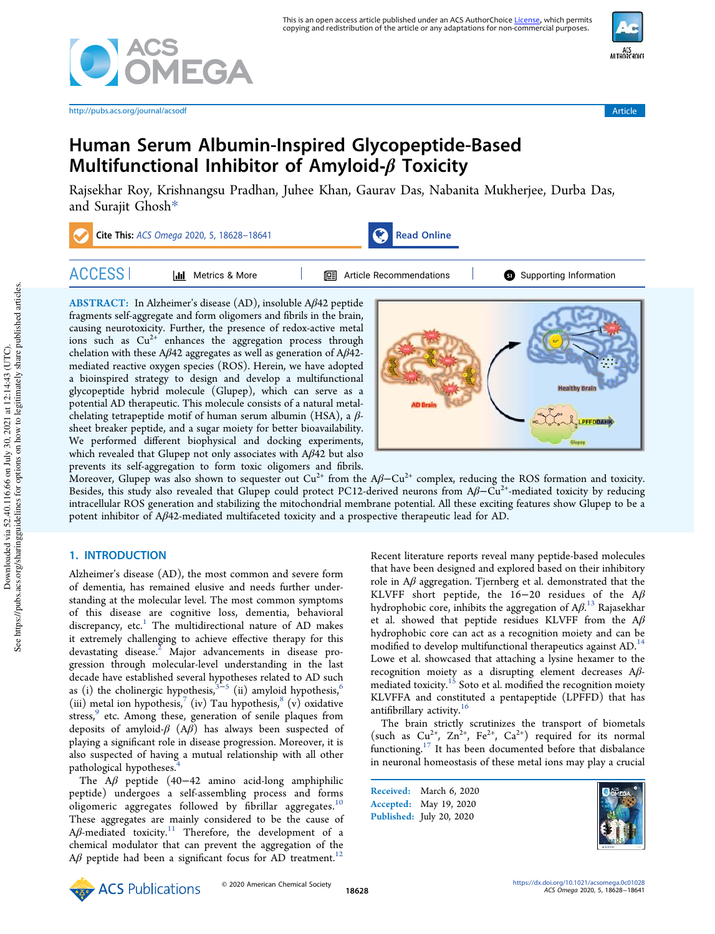

http://pubs.acs.org/journal/acsodf Article



# Human Serum Albumin-Inspired Glycopeptide-Based Multifunctional Inhibitor of Amyloid- $\beta$  Toxicity

Rajsekhar Roy, Krishnangsu Pradhan, Juhee Khan, Gaurav Das, Nabanita Mukherjee, Durba Das, and Surajit Ghosh\*

| Cite This: ACS Omega 2020, 5, 18628-18641 |                          | Read Online                      |  |                        |
|-------------------------------------------|--------------------------|----------------------------------|--|------------------------|
| <b>ACCESS</b>                             | Metrics & More<br>l di l | <b>I</b> Article Recommendations |  | Supporting Information |

ABSTRACT: In Alzheimer's disease (AD), insoluble Aβ42 peptide fragments self-aggregate and form oligomers and fibrils in the brain, causing neurotoxicity. Further, the presence of redox-active metal ions such as Cu<sup>2+</sup> enhances the aggregation process through chelation with these Aβ42 aggregates as well as generation of Aβ42 mediated reactive oxygen species (ROS). Herein, we have adopted a bioinspired strategy to design and develop a multifunctional glycopeptide hybrid molecule (Glupep), which can serve as a potential AD therapeutic. This molecule consists of a natural metalchelating tetrapeptide motif of human serum albumin (HSA), a  $\beta$ sheet breaker peptide, and a sugar moiety for better bioavailability. We performed different biophysical and docking experiments, which revealed that Glupep not only associates with Aβ42 but also prevents its self-aggregation to form toxic oligomers and fibrils.



Moreover, Glupep was also shown to sequester out  $Cu^{2+}$  from the A $\beta$ – $Cu^{2+}$  complex, reducing the ROS formation and toxicity. Besides, this study also revealed that Glupep could protect PC12-derived neurons from  $A\beta - Cu^{2+}$ -mediated toxicity by reducing intracellular ROS generation and stabilizing the mitochondrial membrane potential. All these exciting features show Glupep to be a potent inhibitor of Aβ42-mediated multifaceted toxicity and a prospective therapeutic lead for AD.

## 1. INTRODUCTION

Alzheimer's disease (AD), the most common and severe form of dementia, has remained elusive and needs further understanding at the molecular level. The most common symptoms of this disease are cognitive loss, dementia, behavioral discrepancy, etc.<sup>1</sup> The multidirectional nature of AD makes it extremely challenging to achieve effective therapy for this devastating disease. $2$  Major advancements in disease progression through molecular-level understanding in the last decade have established several hypotheses related to AD such as (i) the cholinergic hypothesis, $3^{3-5}$  (ii) amyloid hypothesis, $^6$ (iii) metal ion hypothesis,<sup>7</sup> (iv) Tau hypothesis,<sup>8</sup> (v) oxidative stress,<sup>9</sup> etc. Among these, generation of senile plaques from deposits of amyloid- $\beta$  (A $\beta$ ) has always been suspected of playing a significant role in disease progression. Moreover, it is also suspected of having a mutual relationship with all other pathological hypotheses.<sup>4</sup>

The A $\beta$  peptide (40−42 amino acid-long amphiphilic peptide) undergoes a self-assembling process and forms oligomeric aggregates followed by fibrillar aggregates.<sup>10</sup> These aggregates are mainly considered to be the cause of  $A\beta$ -mediated toxicity.<sup>11</sup> Therefore, the development of a chemical modulator that can prevent the aggregation of the  $A\beta$  peptide had been a significant focus for AD treatment.<sup>1</sup>

Recent literature reports reveal many peptide-based molecules that have been designed and explored based on their inhibitory role in  $A\beta$  aggregation. Tjernberg et al. demonstrated that the KLVFF short peptide, the 16−20 residues of the Aβ hydrophobic core, inhibits the aggregation of  $A\beta$ .<sup>13</sup> Rajasekhar et al. showed that peptide residues KLVFF from the  $A\beta$ hydrophobic core can act as a recognition moiety and can be modified to develop multifunctional therapeutics against AD.<sup>14</sup> Lowe et al. showcased that attaching a lysine hexamer to the recognition moiety as a disrupting element decreases Aβmediated toxicity.<sup>15</sup> Soto et al. modified the recognition moiety KLVFFA and constituted a pentapeptide (LPFFD) that has antifibrillary activity.<sup>16</sup>

The brain strictly scrutinizes the transport of biometals (such as  $Cu^{2+}$ ,  $Zn^{2+}$ ,  $Fe^{2+}$ ,  $Ca^{2+}$ ) required for its normal functioning.<sup>17</sup> It has been documented before that disbalance in neuronal homeostasis of these metal ions may play a crucial

Received: March 6, 2020 Accepted: May 19, 2020 Published: July 20, 2020



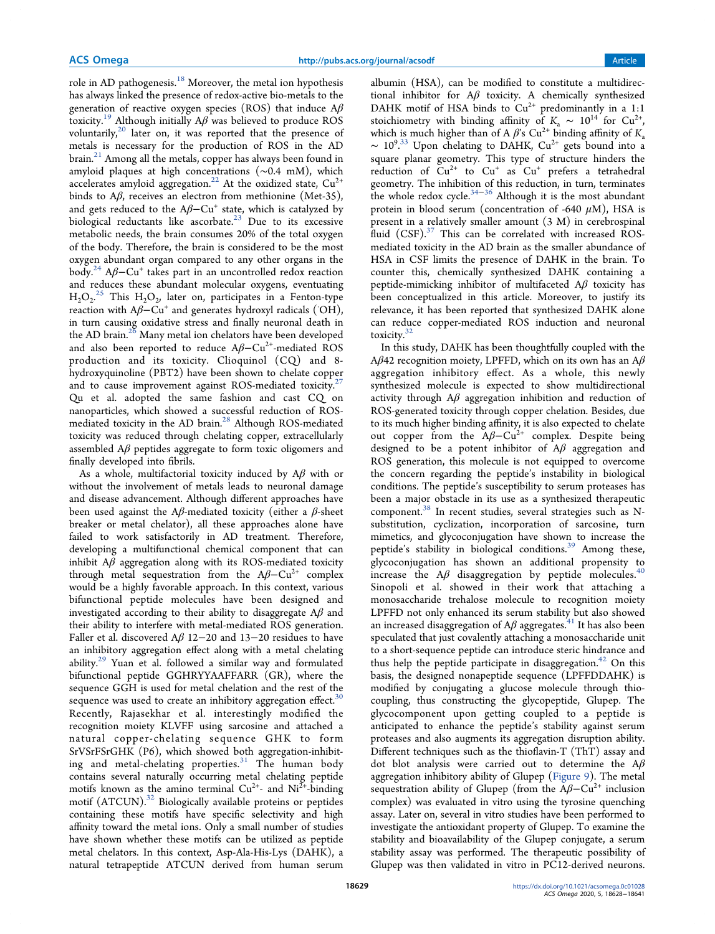role in AD pathogenesis. $18$  Moreover, the metal ion hypothesis has always linked the presence of redox-active bio-metals to the generation of reactive oxygen species (ROS) that induce  $A\beta$ toxicity.<sup>19</sup> Although initially  $A\beta$  was believed to produce ROS voluntarily, $^{20}$  later on, it was reported that the presence of metals is necessary for the production of ROS in the AD  $brain<sup>21</sup>$  Among all the metals, copper has always been found in amyloid plaques at high concentrations (∼0.4 mM), which accelerates amyloid aggregation.<sup>22</sup> At the oxidized state,  $Cu^{2+}$ binds to Aβ, receives an electron from methionine (Met-35), and gets reduced to the  $A\beta$ – $Cu^+$  state, which is catalyzed by biological reductants like ascorbate. $23$  Due to its excessive metabolic needs, the brain consumes 20% of the total oxygen of the body. Therefore, the brain is considered to be the most oxygen abundant organ compared to any other organs in the body.<sup>24</sup> Aβ–Cu<sup>+</sup> takes part in an uncontrolled redox reaction and reduces these abundant molecular oxygens, eventuating  $H_2O_2$ .<sup>25</sup> This  $H_2O_2$ , later on, participates in a Fenton-type reaction with  $A\beta - Cu^+$  and generates hydroxyl radicals ( $\overrightarrow{OH}$ ), in turn causing oxidative stress and finally neuronal death in the AD brain.<sup>26</sup> Many metal ion chelators have been developed and also been reported to reduce  $A\beta - Cu^{2+}$ -mediated ROS production and its toxicity. Clioquinol (CQ) and 8 hydroxyquinoline (PBT2) have been shown to chelate copper and to cause improvement against ROS-mediated toxicity.<sup>2</sup> Qu et al. adopted the same fashion and cast CQ on nanoparticles, which showed a successful reduction of ROSmediated toxicity in the AD brain.<sup>28</sup> Although ROS-mediated toxicity was reduced through chelating copper, extracellularly assembled  $A\beta$  peptides aggregate to form toxic oligomers and finally developed into fibrils.

As a whole, multifactorial toxicity induced by  $A\beta$  with or without the involvement of metals leads to neuronal damage and disease advancement. Although different approaches have been used against the A $\beta$ -mediated toxicity (either a  $\beta$ -sheet breaker or metal chelator), all these approaches alone have failed to work satisfactorily in AD treatment. Therefore, developing a multifunctional chemical component that can inhibit  $A\beta$  aggregation along with its ROS-mediated toxicity through metal sequestration from the  $A\beta$ –Cu<sup>2+</sup> complex would be a highly favorable approach. In this context, various bifunctional peptide molecules have been designed and investigated according to their ability to disaggregate  $A\beta$  and their ability to interfere with metal-mediated ROS generation. Faller et al. discovered Aβ 12−20 and 13−20 residues to have an inhibitory aggregation effect along with a metal chelating ability.<sup>29</sup> Yuan et al. followed a similar way and formulated bifunctional peptide GGHRYYAAFFARR (GR), where the sequence GGH is used for metal chelation and the rest of the sequence was used to create an inhibitory aggregation effect. $30$ Recently, Rajasekhar et al. interestingly modified the recognition moiety KLVFF using sarcosine and attached a natural copper-chelating sequence GHK to form SrVSrFSrGHK (P6), which showed both aggregation-inhibiting and metal-chelating properties. $31$  The human body contains several naturally occurring metal chelating peptide motifs known as the amino terminal  $Cu^{2+}$ - and  $Ni^{2+}$ -binding motif (ATCUN).<sup>32</sup> Biologically available proteins or peptides containing these motifs have specific selectivity and high affinity toward the metal ions. Only a small number of studies have shown whether these motifs can be utilized as peptide metal chelators. In this context, Asp-Ala-His-Lys (DAHK), a natural tetrapeptide ATCUN derived from human serum

albumin (HSA), can be modified to constitute a multidirectional inhibitor for  $A\beta$  toxicity. A chemically synthesized DAHK motif of HSA binds to  $Cu^{2+}$  predominantly in a 1:1 stoichiometry with binding affinity of  $K_a \sim 10^{14}$  for Cu<sup>2+</sup>, which is much higher than of A  $\beta$ 's Cu<sup>2+</sup> binding affinity of K<sub>2</sub>  $\sim 10^{9.33}$  Upon chelating to DAHK, Cu<sup>2+</sup> gets bound into a square planar geometry. This type of structure hinders the reduction of  $Cu^{2+}$  to  $Cu^{+}$  as  $Cu^{+}$  prefers a tetrahedral geometry. The inhibition of this reduction, in turn, terminates the whole redox cycle.34−<sup>36</sup> Although it is the most abundant protein in blood serum (concentration of -640  $\mu$ M), HSA is present in a relatively smaller amount (3 M) in cerebrospinal fluid (CSF).<sup>37</sup> This can be correlated with increased ROSmediated toxicity in the AD brain as the smaller abundance of HSA in CSF limits the presence of DAHK in the brain. To counter this, chemically synthesized DAHK containing a peptide-mimicking inhibitor of multifaceted  $A\beta$  toxicity has been conceptualized in this article. Moreover, to justify its relevance, it has been reported that synthesized DAHK alone can reduce copper-mediated ROS induction and neuronal toxicity.<sup>32</sup>

In this study, DAHK has been thoughtfully coupled with the Aβ42 recognition moiety, LPFFD, which on its own has an  $Aβ$ aggregation inhibitory effect. As a whole, this newly synthesized molecule is expected to show multidirectional activity through  $A\beta$  aggregation inhibition and reduction of ROS-generated toxicity through copper chelation. Besides, due to its much higher binding affinity, it is also expected to chelate out copper from the  $A\beta$ -Cu<sup>2+</sup> complex. Despite being designed to be a potent inhibitor of  $A\beta$  aggregation and ROS generation, this molecule is not equipped to overcome the concern regarding the peptide's instability in biological conditions. The peptide's susceptibility to serum proteases has been a major obstacle in its use as a synthesized therapeutic component.<sup>38</sup> In recent studies, several strategies such as Nsubstitution, cyclization, incorporation of sarcosine, turn mimetics, and glycoconjugation have shown to increase the peptide's stability in biological conditions.<sup>39</sup> Among these, glycoconjugation has shown an additional propensity to increase the  $A\beta$  disaggregation by peptide molecules.<sup>40</sup> Sinopoli et al. showed in their work that attaching a monosaccharide trehalose molecule to recognition moiety LPFFD not only enhanced its serum stability but also showed an increased disaggregation of A $\beta$  aggregates.<sup>41</sup> It has also been speculated that just covalently attaching a monosaccharide unit to a short-sequence peptide can introduce steric hindrance and thus help the peptide participate in disaggregation.<sup>42</sup> On this basis, the designed nonapeptide sequence (LPFFDDAHK) is modified by conjugating a glucose molecule through thiocoupling, thus constructing the glycopeptide, Glupep. The glycocomponent upon getting coupled to a peptide is anticipated to enhance the peptide's stability against serum proteases and also augments its aggregation disruption ability. Different techniques such as the thioflavin-T (ThT) assay and dot blot analysis were carried out to determine the  $A\beta$ aggregation inhibitory ability of Glupep (Figure 9). The metal sequestration ability of Glupep (from the  $A\beta-Cu^{2+}$  inclusion complex) was evaluated in vitro using the tyrosine quenching assay. Later on, several in vitro studies have been performed to investigate the antioxidant property of Glupep. To examine the stability and bioavailability of the Glupep conjugate, a serum stability assay was performed. The therapeutic possibility of Glupep was then validated in vitro in PC12-derived neurons.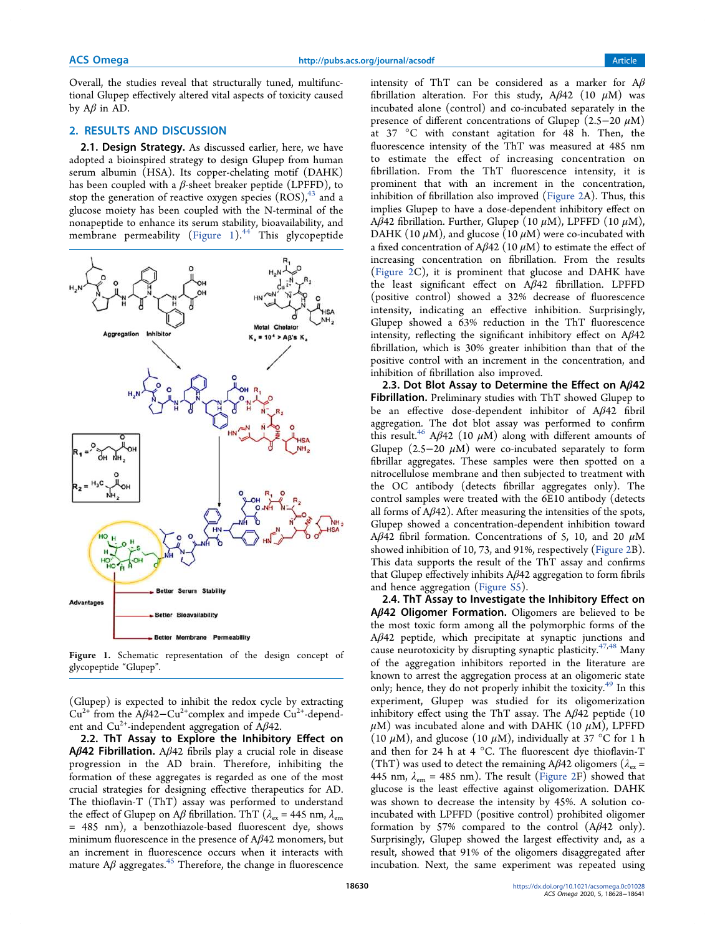Overall, the studies reveal that structurally tuned, multifunctional Glupep effectively altered vital aspects of toxicity caused by  $A\beta$  in AD.

### 2. RESULTS AND DISCUSSION

2.1. Design Strategy. As discussed earlier, here, we have adopted a bioinspired strategy to design Glupep from human serum albumin (HSA). Its copper-chelating motif (DAHK) has been coupled with a  $\beta$ -sheet breaker peptide (LPFFD), to stop the generation of reactive oxygen species  $(ROS),<sup>43</sup>$  and a glucose moiety has been coupled with the N-terminal of the nonapeptide to enhance its serum stability, bioavailability, and membrane permeability (Figure 1). $44$  This glycopeptide



Figure 1. Schematic representation of the design concept of glycopeptide "Glupep".

(Glupep) is expected to inhibit the redox cycle by extracting  $Cu^{2+}$  from the A $\beta$ 42–Cu<sup>2+</sup>complex and impede Cu<sup>2+</sup>-dependent and Cu<sup>2+</sup>-independent aggregation of A $\beta$ 42.

2.2. ThT Assay to Explore the Inhibitory Effect on **Aβ42 Fibrillation.** Aβ42 fibrils play a crucial role in disease progression in the AD brain. Therefore, inhibiting the formation of these aggregates is regarded as one of the most crucial strategies for designing effective therapeutics for AD. The thioflavin-T (ThT) assay was performed to understand the effect of Glupep on A $\beta$  fibrillation. ThT ( $\lambda_{\rm ex}$  = 445 nm,  $\lambda_{\rm em}$ = 485 nm), a benzothiazole-based fluorescent dye, shows minimum fluorescence in the presence of  $A\beta 42$  monomers, but an increment in fluorescence occurs when it interacts with mature  $A\beta$  aggregates.<sup>45</sup> Therefore, the change in fluorescence

intensity of ThT can be considered as a marker for  $A\beta$ fibrillation alteration. For this study,  $A\beta$ 42 (10  $\mu$ M) was incubated alone (control) and co-incubated separately in the presence of different concentrations of Glupep (2.5−20  $\mu$ M) at 37 °C with constant agitation for 48 h. Then, the fluorescence intensity of the ThT was measured at 485 nm to estimate the effect of increasing concentration on fibrillation. From the ThT fluorescence intensity, it is prominent that with an increment in the concentration, inhibition of fibrillation also improved (Figure 2A). Thus, this implies Glupep to have a dose-dependent inhibitory effect on  $A\overline{B}42$  fibrillation. Further, Glupep (10  $\mu$ M), LPFFD (10  $\mu$ M), DAHK (10  $\mu$ M), and glucose (10  $\mu$ M) were co-incubated with a fixed concentration of Aβ42 (10  $μ$ M) to estimate the effect of increasing concentration on fibrillation. From the results (Figure 2C), it is prominent that glucose and DAHK have the least significant effect on Aβ42 fibrillation. LPFFD (positive control) showed a 32% decrease of fluorescence intensity, indicating an effective inhibition. Surprisingly, Glupep showed a 63% reduction in the ThT fluorescence intensity, reflecting the significant inhibitory effect on  $A\beta 42$ fibrillation, which is 30% greater inhibition than that of the positive control with an increment in the concentration, and inhibition of fibrillation also improved.

2.3. Dot Blot Assay to Determine the Effect on Aβ42 Fibrillation. Preliminary studies with ThT showed Glupep to be an effective dose-dependent inhibitor of Aβ42 fibril aggregation. The dot blot assay was performed to confirm this result.<sup>46</sup> A $\beta$ 42 (10  $\mu$ M) along with different amounts of Glupep (2.5−20  $\mu$ M) were co-incubated separately to form fibrillar aggregates. These samples were then spotted on a nitrocellulose membrane and then subjected to treatment with the OC antibody (detects fibrillar aggregates only). The control samples were treated with the 6E10 antibody (detects all forms of  $A\beta 42$ ). After measuring the intensities of the spots, Glupep showed a concentration-dependent inhibition toward A $\beta$ 42 fibril formation. Concentrations of 5, 10, and 20  $\mu$ M showed inhibition of 10, 73, and 91%, respectively (Figure 2B). This data supports the result of the ThT assay and confirms that Glupep effectively inhibits  $A\beta$ 42 aggregation to form fibrils and hence aggregation (Figure S5).

2.4. ThT Assay to Investigate the Inhibitory Effect on Aβ42 Oligomer Formation. Oligomers are believed to be the most toxic form among all the polymorphic forms of the Aβ42 peptide, which precipitate at synaptic junctions and cause neurotoxicity by disrupting synaptic plasticity. $47,48$  Many of the aggregation inhibitors reported in the literature are known to arrest the aggregation process at an oligomeric state only; hence, they do not properly inhibit the toxicity.<sup>49</sup> In this experiment, Glupep was studied for its oligomerization inhibitory effect using the ThT assay. The  $A\beta 42$  peptide (10  $\mu$ M) was incubated alone and with DAHK (10  $\mu$ M), LPFFD (10  $\mu$ M), and glucose (10  $\mu$ M), individually at 37 °C for 1 h and then for 24 h at 4 °C. The fluorescent dye thioflavin-T (ThT) was used to detect the remaining A $\beta$ 42 oligomers ( $\lambda_{\rm ex}$  = 445 nm,  $\lambda_{em}$  = 485 nm). The result (Figure 2F) showed that glucose is the least effective against oligomerization. DAHK was shown to decrease the intensity by 45%. A solution coincubated with LPFFD (positive control) prohibited oligomer formation by 57% compared to the control  $(A\beta 42 \text{ only}).$ Surprisingly, Glupep showed the largest effectivity and, as a result, showed that 91% of the oligomers disaggregated after incubation. Next, the same experiment was repeated using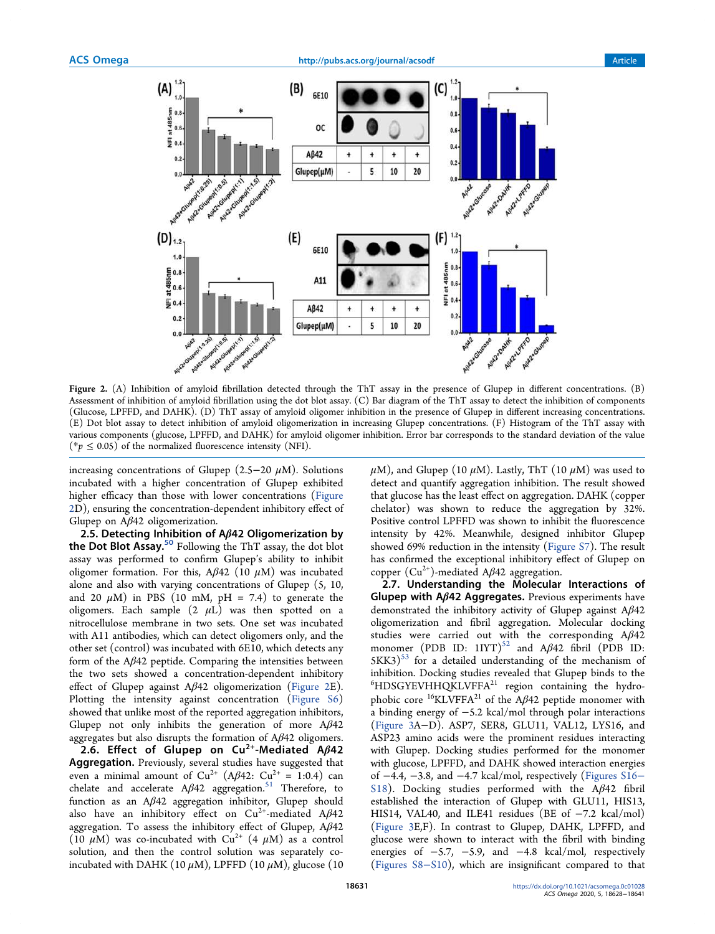



Figure 2. (A) Inhibition of amyloid fibrillation detected through the ThT assay in the presence of Glupep in different concentrations. (B) Assessment of inhibition of amyloid fibrillation using the dot blot assay. (C) Bar diagram of the ThT assay to detect the inhibition of components (Glucose, LPFFD, and DAHK). (D) ThT assay of amyloid oligomer inhibition in the presence of Glupep in different increasing concentrations. (E) Dot blot assay to detect inhibition of amyloid oligomerization in increasing Glupep concentrations. (F) Histogram of the ThT assay with various components (glucose, LPFFD, and DAHK) for amyloid oligomer inhibition. Error bar corresponds to the standard deviation of the value (\* $p \leq 0.05$ ) of the normalized fluorescence intensity (NFI).

increasing concentrations of Glupep (2.5−20  $\mu$ M). Solutions incubated with a higher concentration of Glupep exhibited higher efficacy than those with lower concentrations (Figure 2D), ensuring the concentration-dependent inhibitory effect of Glupep on Aβ42 oligomerization.

2.5. Detecting Inhibition of A $\beta$ 42 Oligomerization by the Dot Blot Assay.<sup>50</sup> Following the ThT assay, the dot blot assay was performed to confirm Glupep's ability to inhibit oligomer formation. For this,  $A\beta$ 42 (10  $\mu$ M) was incubated alone and also with varying concentrations of Glupep (5, 10, and 20  $\mu$ M) in PBS (10 mM, pH = 7.4) to generate the oligomers. Each sample  $(2 \mu L)$  was then spotted on a nitrocellulose membrane in two sets. One set was incubated with A11 antibodies, which can detect oligomers only, and the other set (control) was incubated with 6E10, which detects any form of the  $A\beta 42$  peptide. Comparing the intensities between the two sets showed a concentration-dependent inhibitory effect of Glupep against  $A\beta$ 42 oligomerization (Figure 2E). Plotting the intensity against concentration (Figure S6) showed that unlike most of the reported aggregation inhibitors, Glupep not only inhibits the generation of more  $A\beta 42$ aggregates but also disrupts the formation of  $A\beta 42$  oligomers.

2.6. Effect of Glupep on  $Cu^{2+}$ -Mediated A $\beta$ 42 Aggregation. Previously, several studies have suggested that even a minimal amount of  $Cu^{2+}$  (A $\beta$ 42:  $Cu^{2+} = 1:0.4$ ) can chelate and accelerate  $A\beta 42$  aggregation.<sup>51</sup> Therefore, to function as an Aβ42 aggregation inhibitor, Glupep should also have an inhibitory effect on  $Cu^{2+}$ -mediated A $\beta$ 42 aggregation. To assess the inhibitory effect of Glupep,  $A\beta 42$ (10  $\mu$ M) was co-incubated with Cu<sup>2+</sup> (4  $\mu$ M) as a control solution, and then the control solution was separately coincubated with DAHK (10  $\mu$ M), LPFFD (10  $\mu$ M), glucose (10  $\mu$ M), and Glupep (10  $\mu$ M). Lastly, ThT (10  $\mu$ M) was used to detect and quantify aggregation inhibition. The result showed that glucose has the least effect on aggregation. DAHK (copper chelator) was shown to reduce the aggregation by 32%. Positive control LPFFD was shown to inhibit the fluorescence intensity by 42%. Meanwhile, designed inhibitor Glupep showed 69% reduction in the intensity (Figure S7). The result has confirmed the exceptional inhibitory effect of Glupep on copper  $(Cu^{2+})$ -mediated A $\beta$ 42 aggregation.

2.7. Understanding the Molecular Interactions of Glupep with  $A\beta$ 42 Aggregates. Previous experiments have demonstrated the inhibitory activity of Glupep against Aβ42 oligomerization and fibril aggregation. Molecular docking studies were carried out with the corresponding Aβ42 monomer (PDB ID:  $1IYT$ )<sup>52</sup> and A $\beta$ 42 fibril (PDB ID:  $5KK3$ <sup>53</sup> for a detailed understanding of the mechanism of inhibition. Docking studies revealed that Glupep binds to the  ${}^{6}$ HDSGYEVHHQKLVFFA<sup>21</sup> region containing the hydrophobic core  $^{16}$ KLVFFA<sup>21</sup> of the A $\beta$ 42 peptide monomer with a binding energy of −5.2 kcal/mol through polar interactions (Figure 3A−D). ASP7, SER8, GLU11, VAL12, LYS16, and ASP23 amino acids were the prominent residues interacting with Glupep. Docking studies performed for the monomer with glucose, LPFFD, and DAHK showed interaction energies of −4.4, −3.8, and −4.7 kcal/mol, respectively (Figures S16− S18). Docking studies performed with the Aβ42 fibril established the interaction of Glupep with GLU11, HIS13, HIS14, VAL40, and ILE41 residues (BE of −7.2 kcal/mol) (Figure 3E,F). In contrast to Glupep, DAHK, LPFFD, and glucose were shown to interact with the fibril with binding energies of  $-5.7$ ,  $-5.9$ , and  $-4.8$  kcal/mol, respectively (Figures S8−S10), which are insignificant compared to that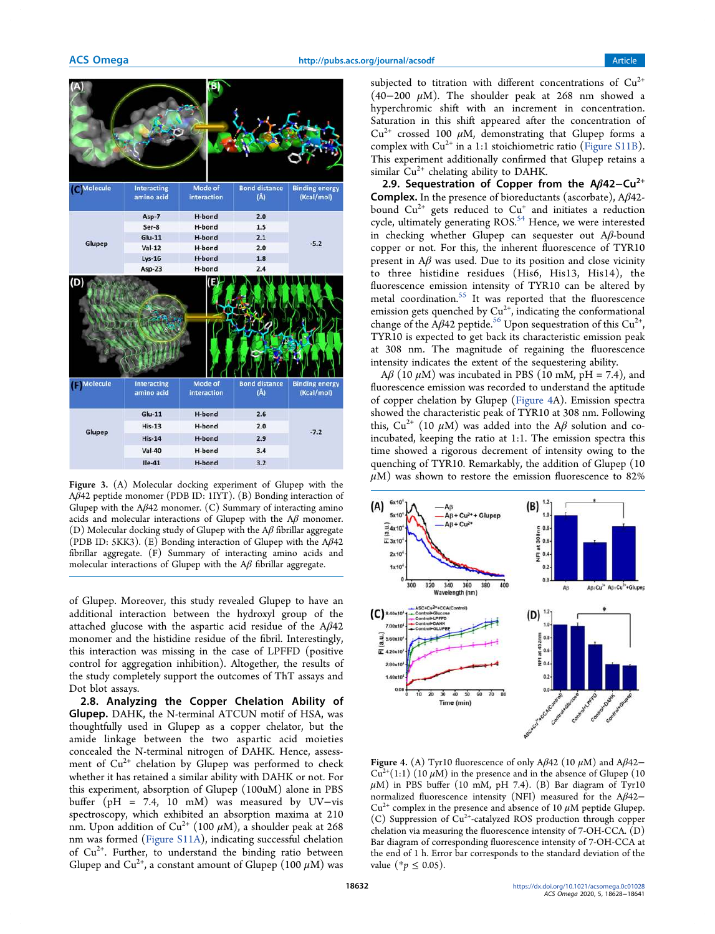

Figure 3. (A) Molecular docking experiment of Glupep with the Aβ42 peptide monomer (PDB ID: 1IYT). (B) Bonding interaction of Glupep with the  $A\beta$ 42 monomer. (C) Summary of interacting amino acids and molecular interactions of Glupep with the  $A\beta$  monomer. (D) Molecular docking study of Glupep with the  $A\beta$  fibrillar aggregate (PDB ID: 5KK3). (E) Bonding interaction of Glupep with the  $A\beta$ 42 fibrillar aggregate. (F) Summary of interacting amino acids and molecular interactions of Glupep with the  $A\beta$  fibrillar aggregate.

of Glupep. Moreover, this study revealed Glupep to have an additional interaction between the hydroxyl group of the attached glucose with the aspartic acid residue of the  $A\beta 42$ monomer and the histidine residue of the fibril. Interestingly, this interaction was missing in the case of LPFFD (positive control for aggregation inhibition). Altogether, the results of the study completely support the outcomes of ThT assays and Dot blot assays.

2.8. Analyzing the Copper Chelation Ability of Glupep. DAHK, the N-terminal ATCUN motif of HSA, was thoughtfully used in Glupep as a copper chelator, but the amide linkage between the two aspartic acid moieties concealed the N-terminal nitrogen of DAHK. Hence, assessment of Cu<sup>2+</sup> chelation by Glupep was performed to check whether it has retained a similar ability with DAHK or not. For this experiment, absorption of Glupep (100uM) alone in PBS buffer (pH = 7.4, 10 mM) was measured by UV−vis spectroscopy, which exhibited an absorption maxima at 210 nm. Upon addition of Cu<sup>2+</sup> (100  $\mu$ M), a shoulder peak at 268 nm was formed (Figure S11A), indicating successful chelation of Cu<sup>2+</sup>. Further, to understand the binding ratio between Glupep and Cu<sup>2+</sup>, a constant amount of Glupep (100  $\mu$ M) was

subjected to titration with different concentrations of  $Cu^{2+}$ (40−200  $\mu$ M). The shoulder peak at 268 nm showed a hyperchromic shift with an increment in concentration. Saturation in this shift appeared after the concentration of  $Cu^{2+}$  crossed 100  $\mu$ M, demonstrating that Glupep forms a complex with  $Cu^{2+}$  in a 1:1 stoichiometric ratio (Figure S11B). This experiment additionally confirmed that Glupep retains a similar  $Cu^{2+}$  chelating ability to DAHK.

2.9. Sequestration of Copper from the Aß42-Cu<sup>2+</sup> Complex. In the presence of bioreductants (ascorbate), Aβ42 bound  $Cu^{2+}$  gets reduced to  $Cu^{+}$  and initiates a reduction cycle, ultimately generating ROS.<sup>54</sup> Hence, we were interested in checking whether Glupep can sequester out Aβ-bound copper or not. For this, the inherent fluorescence of TYR10 present in  $A\beta$  was used. Due to its position and close vicinity to three histidine residues (His6, His13, His14), the fluorescence emission intensity of TYR10 can be altered by metal coordination.<sup>55</sup> It was reported that the fluorescence emission gets quenched by  $Cu^{2+}$ , indicating the conformational change of the A $\beta$ 42 peptide.<sup>56</sup> Upon sequestration of this Cu<sup>2+</sup>, TYR10 is expected to get back its characteristic emission peak at 308 nm. The magnitude of regaining the fluorescence intensity indicates the extent of the sequestering ability.

 $A\beta$  (10  $\mu$ M) was incubated in PBS (10 mM, pH = 7.4), and fluorescence emission was recorded to understand the aptitude of copper chelation by Glupep (Figure 4A). Emission spectra showed the characteristic peak of TYR10 at 308 nm. Following this,  $Cu^{2+}$  (10  $\mu$ M) was added into the A $\beta$  solution and coincubated, keeping the ratio at 1:1. The emission spectra this time showed a rigorous decrement of intensity owing to the quenching of TYR10. Remarkably, the addition of Glupep (10  $\mu$ M) was shown to restore the emission fluorescence to 82%



Figure 4. (A) Tyr10 fluorescence of only A $\beta$ 42 (10  $\mu$ M) and A $\beta$ 42−  $Cu^{2+}(1:1)$  (10  $\mu$ M) in the presence and in the absence of Glupep (10  $\mu$ M) in PBS buffer (10 mM, pH 7.4). (B) Bar diagram of Tyr10 normalized fluorescence intensity (NFI) measured for the Aβ42−  $Cu^{2+}$  complex in the presence and absence of 10  $\mu$ M peptide Glupep. (C) Suppression of Cu2+-catalyzed ROS production through copper chelation via measuring the fluorescence intensity of 7-OH-CCA. (D) Bar diagram of corresponding fluorescence intensity of 7-OH-CCA at the end of 1 h. Error bar corresponds to the standard deviation of the value (\* $p$  ≤ 0.05).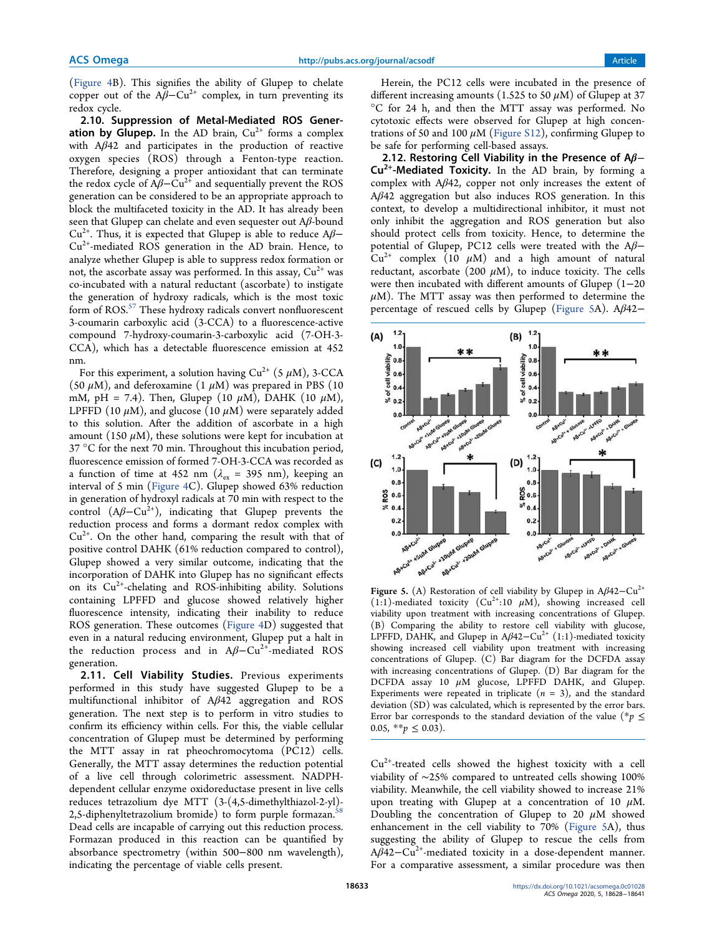(Figure 4B). This signifies the ability of Glupep to chelate copper out of the  $A\beta$ –Cu<sup>2+</sup> complex, in turn preventing its redox cycle.

2.10. Suppression of Metal-Mediated ROS Generation by Glupep. In the AD brain,  $Cu^{2+}$  forms a complex with  $A\beta$ 42 and participates in the production of reactive oxygen species (ROS) through a Fenton-type reaction. Therefore, designing a proper antioxidant that can terminate the redox cycle of  $A\beta$ – $Cu^{2+}$  and sequentially prevent the ROS generation can be considered to be an appropriate approach to block the multifaceted toxicity in the AD. It has already been seen that Glupep can chelate and even sequester out Aβ-bound  $Cu^{2+}$ . Thus, it is expected that Glupep is able to reduce A $\beta$ - $Cu<sup>2+</sup>$ -mediated ROS generation in the AD brain. Hence, to analyze whether Glupep is able to suppress redox formation or not, the ascorbate assay was performed. In this assay,  $Cu^{2+}$  was co-incubated with a natural reductant (ascorbate) to instigate the generation of hydroxy radicals, which is the most toxic form of ROS.<sup>57</sup> These hydroxy radicals convert nonfluorescent 3-coumarin carboxylic acid (3-CCA) to a fluorescence-active compound 7-hydroxy-coumarin-3-carboxylic acid (7-OH-3- CCA), which has a detectable fluorescence emission at 452 nm.

For this experiment, a solution having  $Cu^{2+}$  (5  $\mu$ M), 3-CCA (50  $\mu$ M), and deferoxamine (1  $\mu$ M) was prepared in PBS (10 mM, pH = 7.4). Then, Glupep (10  $\mu$ M), DAHK (10  $\mu$ M), LPFFD (10  $\mu$ M), and glucose (10  $\mu$ M) were separately added to this solution. After the addition of ascorbate in a high amount (150  $\mu$ M), these solutions were kept for incubation at 37 °C for the next 70 min. Throughout this incubation period, fluorescence emission of formed 7-OH-3-CCA was recorded as a function of time at 452 nm ( $\lambda_{\text{ex}}$  = 395 nm), keeping an interval of 5 min (Figure 4C). Glupep showed 63% reduction in generation of hydroxyl radicals at 70 min with respect to the control  $(A\beta-Cu^{2+})$ , indicating that Glupep prevents the reduction process and forms a dormant redox complex with  $Cu<sup>2+</sup>$ . On the other hand, comparing the result with that of positive control DAHK (61% reduction compared to control), Glupep showed a very similar outcome, indicating that the incorporation of DAHK into Glupep has no significant effects on its  $Cu^{2+}$ -chelating and ROS-inhibiting ability. Solutions containing LPFFD and glucose showed relatively higher fluorescence intensity, indicating their inability to reduce ROS generation. These outcomes (Figure 4D) suggested that even in a natural reducing environment, Glupep put a halt in the reduction process and in  $A\beta$ –Cu<sup>2+</sup>-mediated ROS generation.

2.11. Cell Viability Studies. Previous experiments performed in this study have suggested Glupep to be a multifunctional inhibitor of Aβ42 aggregation and ROS generation. The next step is to perform in vitro studies to confirm its efficiency within cells. For this, the viable cellular concentration of Glupep must be determined by performing the MTT assay in rat pheochromocytoma (PC12) cells. Generally, the MTT assay determines the reduction potential of a live cell through colorimetric assessment. NADPHdependent cellular enzyme oxidoreductase present in live cells reduces tetrazolium dye MTT (3-(4,5-dimethylthiazol-2-yl)- 2,5-diphenyltetrazolium bromide) to form purple formazan.<sup>58</sup> Dead cells are incapable of carrying out this reduction process. Formazan produced in this reaction can be quantified by absorbance spectrometry (within 500−800 nm wavelength), indicating the percentage of viable cells present.

Herein, the PC12 cells were incubated in the presence of different increasing amounts (1.525 to 50  $\mu$ M) of Glupep at 37 °C for 24 h, and then the MTT assay was performed. No cytotoxic effects were observed for Glupep at high concentrations of 50 and 100  $\mu$ M (Figure S12), confirming Glupep to be safe for performing cell-based assays.

2.12. Restoring Cell Viability in the Presence of A $\beta$ −  $Cu<sup>2+</sup>$ -Mediated Toxicity. In the AD brain, by forming a complex with Aβ42, copper not only increases the extent of Aβ42 aggregation but also induces ROS generation. In this context, to develop a multidirectional inhibitor, it must not only inhibit the aggregation and ROS generation but also should protect cells from toxicity. Hence, to determine the potential of Glupep, PC12 cells were treated with the Aβ−  $Cu^{2+}$  complex (10  $\mu$ M) and a high amount of natural reductant, ascorbate (200  $\mu$ M), to induce toxicity. The cells were then incubated with different amounts of Glupep (1−20  $\mu$ M). The MTT assay was then performed to determine the percentage of rescued cells by Glupep (Figure 5A). Aβ42−



Figure 5. (A) Restoration of cell viability by Glupep in  $A\beta$ 42–Cu<sup>2+</sup> (1:1)-mediated toxicity ( $Cu^{2+}:10 \mu M$ ), showing increased cell viability upon treatment with increasing concentrations of Glupep. (B) Comparing the ability to restore cell viability with glucose, LPFFD, DAHK, and Glupep in A $\beta$ 42-Cu<sup>2+</sup> (1:1)-mediated toxicity showing increased cell viability upon treatment with increasing concentrations of Glupep. (C) Bar diagram for the DCFDA assay with increasing concentrations of Glupep. (D) Bar diagram for the DCFDA assay 10 μM glucose, LPFFD DAHK, and Glupep. Experiments were repeated in triplicate  $(n = 3)$ , and the standard deviation (SD) was calculated, which is represented by the error bars. Error bar corresponds to the standard deviation of the value (\*p  $\leq$ 0.05, \*\* $p \leq 0.03$ ).

Cu2+-treated cells showed the highest toxicity with a cell viability of ∼25% compared to untreated cells showing 100% viability. Meanwhile, the cell viability showed to increase 21% upon treating with Glupep at a concentration of 10  $\mu$ M. Doubling the concentration of Glupep to 20  $\mu$ M showed enhancement in the cell viability to 70% (Figure 5A), thus suggesting the ability of Glupep to rescue the cells from A $\beta$ 42−Cu<sup>2+</sup>-mediated toxicity in a dose-dependent manner. For a comparative assessment, a similar procedure was then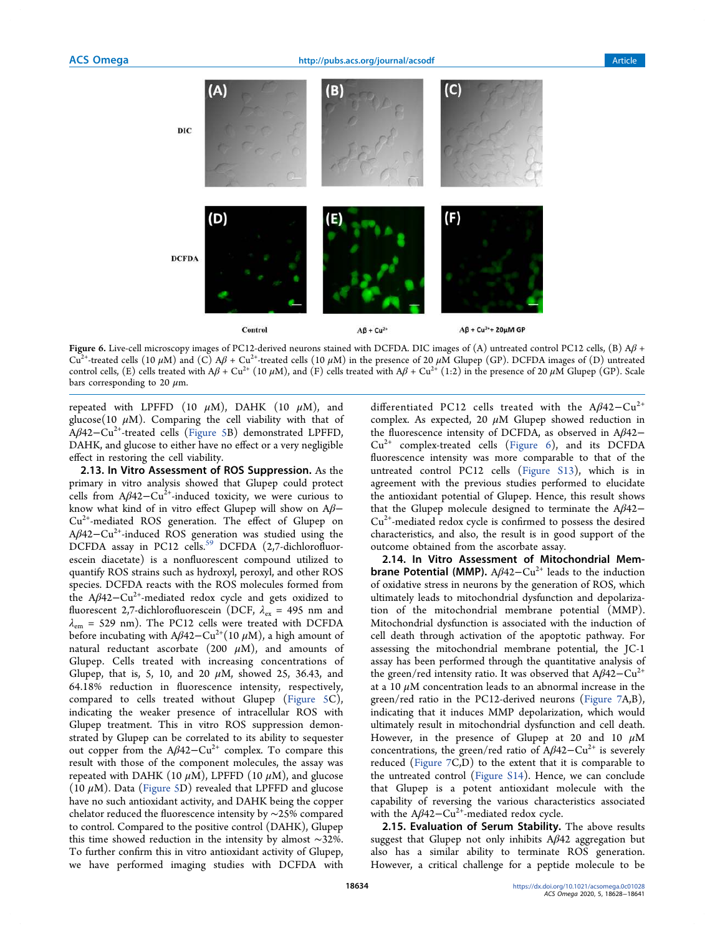

Figure 6. Live-cell microscopy images of PC12-derived neurons stained with DCFDA. DIC images of (A) untreated control PC12 cells, (B)  $\mathbf{A}\mathbf{\beta}$  + Cu<sup>2+</sup>-treated cells (10  $\mu$ M) and (C) A $\beta$  + Cu<sup>2+</sup>-treated cells (10  $\mu$ M) in the presence of 20  $\mu$ M Glupep (GP). DCFDA images of (D) untreated control cells, (E) cells treated with  $A\beta + Cu^{2+} (10 \mu M)$ , and (F) cells treated with  $A\beta + Cu^{2+} (1:2)$  in the presence of 20  $\mu M$  Glupep (GP). Scale bars corresponding to 20  $\mu$ m.

repeated with LPFFD (10  $\mu$ M), DAHK (10  $\mu$ M), and glucose(10  $\mu$ M). Comparing the cell viability with that of  $A\beta$ 42−Cu<sup>2+</sup>-treated cells (Figure 5B) demonstrated LPFFD, DAHK, and glucose to either have no effect or a very negligible effect in restoring the cell viability.

2.13. In Vitro Assessment of ROS Suppression. As the primary in vitro analysis showed that Glupep could protect cells from  $A\beta 42-Cu^{2+}$ -induced toxicity, we were curious to know what kind of in vitro effect Glupep will show on  $A\beta$ −  $Cu<sup>2+</sup>$ -mediated ROS generation. The effect of Glupep on Aβ42−Cu<sup>2+</sup>-induced ROS generation was studied using the DCFDA assay in PC12 cells.<sup>59</sup> DCFDA (2,7-dichlorofluorescein diacetate) is a nonfluorescent compound utilized to quantify ROS strains such as hydroxyl, peroxyl, and other ROS species. DCFDA reacts with the ROS molecules formed from the Aβ42−Cu<sup>2+</sup>-mediated redox cycle and gets oxidized to fluorescent 2,7-dichlorofluorescein (DCF,  $\lambda_{\text{ex}}$  = 495 nm and  $\lambda_{\text{em}}$  = 529 nm). The PC12 cells were treated with DCFDA before incubating with A $\beta$ 42–Cu<sup>2+</sup>(10  $\mu$ M), a high amount of natural reductant ascorbate (200  $\mu$ M), and amounts of Glupep. Cells treated with increasing concentrations of Glupep, that is, 5, 10, and 20  $\mu$ M, showed 25, 36.43, and 64.18% reduction in fluorescence intensity, respectively, compared to cells treated without Glupep (Figure 5C), indicating the weaker presence of intracellular ROS with Glupep treatment. This in vitro ROS suppression demonstrated by Glupep can be correlated to its ability to sequester out copper from the  $A\beta 42-Cu^{2+}$  complex. To compare this result with those of the component molecules, the assay was repeated with DAHK (10  $\mu$ M), LPFFD (10  $\mu$ M), and glucose (10  $\mu$ M). Data (Figure 5D) revealed that LPFFD and glucose have no such antioxidant activity, and DAHK being the copper chelator reduced the fluorescence intensity by ∼25% compared to control. Compared to the positive control (DAHK), Glupep this time showed reduction in the intensity by almost ∼32%. To further confirm this in vitro antioxidant activity of Glupep, we have performed imaging studies with DCFDA with

differentiated PC12 cells treated with the A $\beta$ 42−Cu<sup>2+</sup> complex. As expected, 20  $\mu$ M Glupep showed reduction in the fluorescence intensity of DCFDA, as observed in Aβ42−  $Cu<sup>2+</sup>$  complex-treated cells (Figure 6), and its DCFDA fluorescence intensity was more comparable to that of the untreated control PC12 cells (Figure S13), which is in agreement with the previous studies performed to elucidate the antioxidant potential of Glupep. Hence, this result shows that the Glupep molecule designed to terminate the  $A\beta$ 42−  $Cu<sup>2+</sup>$ -mediated redox cycle is confirmed to possess the desired characteristics, and also, the result is in good support of the outcome obtained from the ascorbate assay.

2.14. In Vitro Assessment of Mitochondrial Mem**brane Potential (MMP).** A $\beta$ 42–Cu<sup>2+</sup> leads to the induction of oxidative stress in neurons by the generation of ROS, which ultimately leads to mitochondrial dysfunction and depolarization of the mitochondrial membrane potential (MMP). Mitochondrial dysfunction is associated with the induction of cell death through activation of the apoptotic pathway. For assessing the mitochondrial membrane potential, the JC-1 assay has been performed through the quantitative analysis of the green/red intensity ratio. It was observed that  $A\beta 42-Cu^{2+}$ at a 10  $\mu$ M concentration leads to an abnormal increase in the green/red ratio in the PC12-derived neurons (Figure 7A,B), indicating that it induces MMP depolarization, which would ultimately result in mitochondrial dysfunction and cell death. However, in the presence of Glupep at 20 and 10  $\mu$ M concentrations, the green/red ratio of  $A\beta 42-Cu^{2+}$  is severely reduced (Figure 7C,D) to the extent that it is comparable to the untreated control (Figure S14). Hence, we can conclude that Glupep is a potent antioxidant molecule with the capability of reversing the various characteristics associated with the A $\beta$ 42-Cu<sup>2+</sup>-mediated redox cycle.

2.15. Evaluation of Serum Stability. The above results suggest that Glupep not only inhibits  $A\beta 42$  aggregation but also has a similar ability to terminate ROS generation. However, a critical challenge for a peptide molecule to be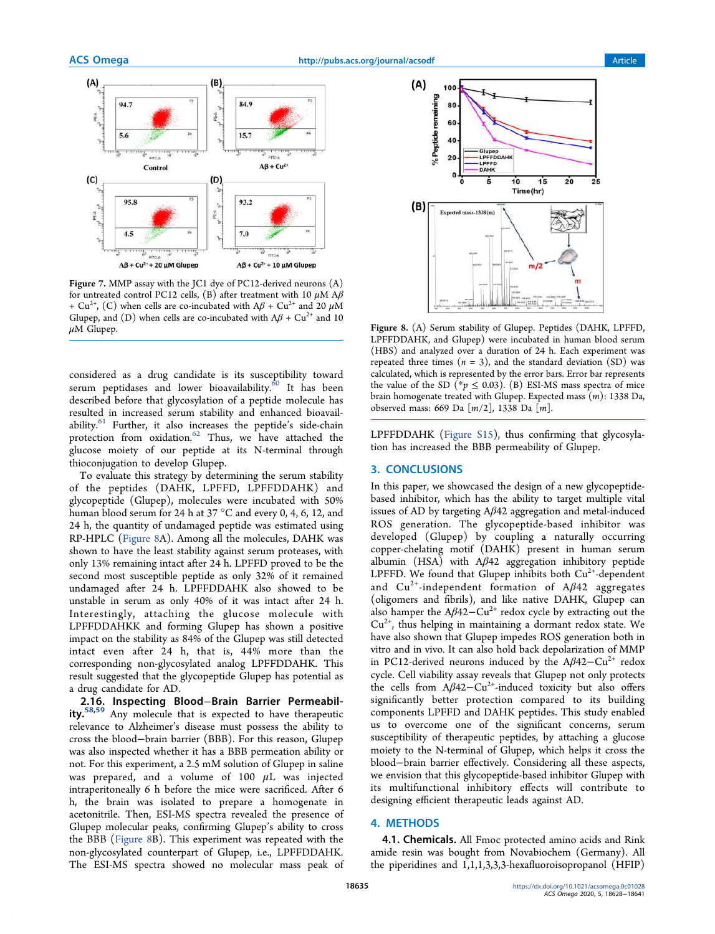

Figure 7. MMP assay with the JC1 dye of PC12-derived neurons (A) for untreated control PC12 cells, (B) after treatment with 10  $\mu$ M A $\beta$ + Cu<sup>2+</sup>, (C) when cells are co-incubated with  $A\beta$  + Cu<sup>2+</sup> and 20  $\mu$ M Glupep, and (D) when cells are co-incubated with  $A\beta + Cu^{2+}$  and 10 μM Glupep. Figure 8. (A) Serum stability of Glupep. Peptides (DAHK, LPFFD,

considered as a drug candidate is its susceptibility toward serum peptidases and lower bioavailability.<sup>60</sup> It has been described before that glycosylation of a peptide molecule has resulted in increased serum stability and enhanced bioavailability.<sup>61</sup> Further, it also increases the peptide's side-chain protection from oxidation.<sup>62</sup> Thus, we have attached the glucose moiety of our peptide at its N-terminal through thioconjugation to develop Glupep.

To evaluate this strategy by determining the serum stability of the peptides (DAHK, LPFFD, LPFFDDAHK) and glycopeptide (Glupep), molecules were incubated with 50% human blood serum for 24 h at 37 °C and every 0, 4, 6, 12, and 24 h, the quantity of undamaged peptide was estimated using RP-HPLC (Figure 8A). Among all the molecules, DAHK was shown to have the least stability against serum proteases, with only 13% remaining intact after 24 h. LPFFD proved to be the second most susceptible peptide as only 32% of it remained undamaged after 24 h. LPFFDDAHK also showed to be unstable in serum as only 40% of it was intact after 24 h. Interestingly, attaching the glucose molecule with LPFFDDAHKK and forming Glupep has shown a positive impact on the stability as 84% of the Glupep was still detected intact even after 24 h, that is, 44% more than the corresponding non-glycosylated analog LPFFDDAHK. This result suggested that the glycopeptide Glupep has potential as a drug candidate for AD.

2.16. Inspecting Blood−Brain Barrier Permeability.<sup>58,59</sup> Any molecule that is expected to have therapeutic relevance to Alzheimer's disease must possess the ability to cross the blood−brain barrier (BBB). For this reason, Glupep was also inspected whether it has a BBB permeation ability or not. For this experiment, a 2.5 mM solution of Glupep in saline was prepared, and a volume of  $100 \mu L$  was injected intraperitoneally 6 h before the mice were sacrificed. After 6 h, the brain was isolated to prepare a homogenate in acetonitrile. Then, ESI-MS spectra revealed the presence of Glupep molecular peaks, confirming Glupep's ability to cross the BBB (Figure 8B). This experiment was repeated with the non-glycosylated counterpart of Glupep, i.e., LPFFDDAHK. The ESI-MS spectra showed no molecular mass peak of



LPFFDDAHK, and Glupep) were incubated in human blood serum (HBS) and analyzed over a duration of 24 h. Each experiment was repeated three times  $(n = 3)$ , and the standard deviation  $(SD)$  was calculated, which is represented by the error bars. Error bar represents the value of the SD (\*p  $\leq$  0.03). (B) ESI-MS mass spectra of mice brain homogenate treated with Glupep. Expected mass (m): 1338 Da, observed mass: 669 Da [m/2], 1338 Da [m].

LPFFDDAHK (Figure S15), thus confirming that glycosylation has increased the BBB permeability of Glupep.

## 3. CONCLUSIONS

In this paper, we showcased the design of a new glycopeptidebased inhibitor, which has the ability to target multiple vital issues of AD by targeting Aβ42 aggregation and metal-induced ROS generation. The glycopeptide-based inhibitor was developed (Glupep) by coupling a naturally occurring copper-chelating motif (DAHK) present in human serum albumin (HSA) with Aβ42 aggregation inhibitory peptide LPFFD. We found that Glupep inhibits both  $Cu<sup>2+</sup>$ -dependent and  $Cu^{2+}$ -independent formation of A $\beta$ 42 aggregates (oligomers and fibrils), and like native DAHK, Glupep can also hamper the  $A\beta 42-Cu^{2+}$  redox cycle by extracting out the  $Cu<sup>2+</sup>$ , thus helping in maintaining a dormant redox state. We have also shown that Glupep impedes ROS generation both in vitro and in vivo. It can also hold back depolarization of MMP in PC12-derived neurons induced by the A $\beta$ 42–Cu<sup>2+</sup> redox cycle. Cell viability assay reveals that Glupep not only protects the cells from  $A\beta 42-Cu^{2+}$ -induced toxicity but also offers significantly better protection compared to its building components LPFFD and DAHK peptides. This study enabled us to overcome one of the significant concerns, serum susceptibility of therapeutic peptides, by attaching a glucose moiety to the N-terminal of Glupep, which helps it cross the blood−brain barrier effectively. Considering all these aspects, we envision that this glycopeptide-based inhibitor Glupep with its multifunctional inhibitory effects will contribute to designing efficient therapeutic leads against AD.

## 4. METHODS

4.1. Chemicals. All Fmoc protected amino acids and Rink amide resin was bought from Novabiochem (Germany). All the piperidines and 1,1,1,3,3,3-hexafluoroisopropanol (HFIP)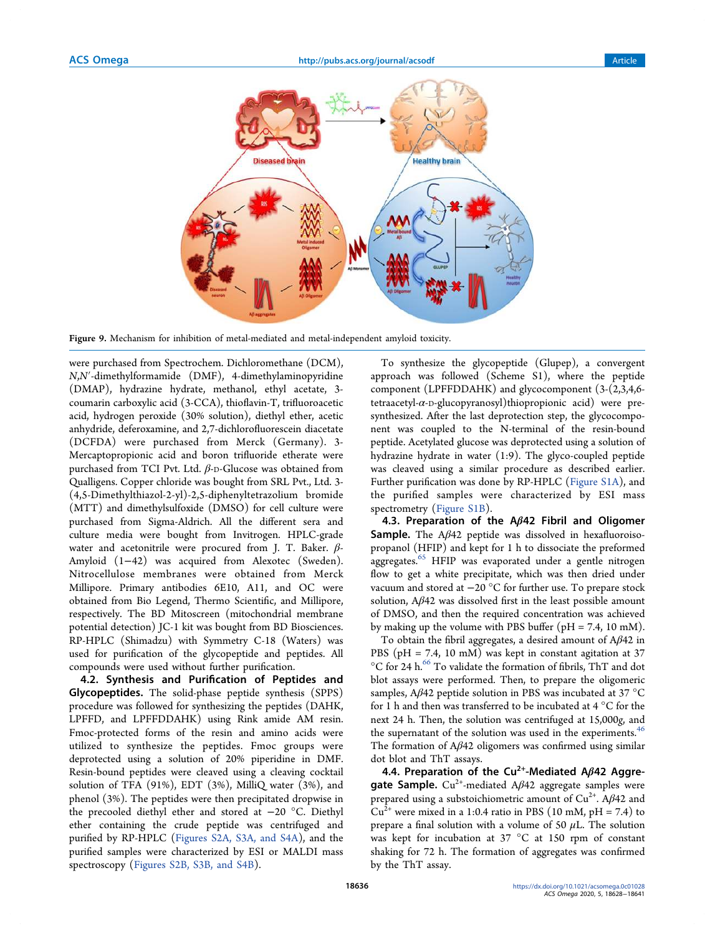

Figure 9. Mechanism for inhibition of metal-mediated and metal-independent amyloid toxicity.

were purchased from Spectrochem. Dichloromethane (DCM), N,N′-dimethylformamide (DMF), 4-dimethylaminopyridine (DMAP), hydrazine hydrate, methanol, ethyl acetate, 3 coumarin carboxylic acid (3-CCA), thioflavin-T, trifluoroacetic acid, hydrogen peroxide (30% solution), diethyl ether, acetic anhydride, deferoxamine, and 2,7-dichlorofluorescein diacetate (DCFDA) were purchased from Merck (Germany). 3- Mercaptopropionic acid and boron trifluoride etherate were purchased from TCI Pvt. Ltd. β-D-Glucose was obtained from Qualligens. Copper chloride was bought from SRL Pvt., Ltd. 3- (4,5-Dimethylthiazol-2-yl)-2,5-diphenyltetrazolium bromide (MTT) and dimethylsulfoxide (DMSO) for cell culture were purchased from Sigma-Aldrich. All the different sera and culture media were bought from Invitrogen. HPLC-grade water and acetonitrile were procured from J. T. Baker.  $\beta$ -Amyloid (1−42) was acquired from Alexotec (Sweden). Nitrocellulose membranes were obtained from Merck Millipore. Primary antibodies 6E10, A11, and OC were obtained from Bio Legend, Thermo Scientific, and Millipore, respectively. The BD Mitoscreen (mitochondrial membrane potential detection) JC-1 kit was bought from BD Biosciences. RP-HPLC (Shimadzu) with Symmetry C-18 (Waters) was used for purification of the glycopeptide and peptides. All compounds were used without further purification.

4.2. Synthesis and Purification of Peptides and Glycopeptides. The solid-phase peptide synthesis (SPPS) procedure was followed for synthesizing the peptides (DAHK, LPFFD, and LPFFDDAHK) using Rink amide AM resin. Fmoc-protected forms of the resin and amino acids were utilized to synthesize the peptides. Fmoc groups were deprotected using a solution of 20% piperidine in DMF. Resin-bound peptides were cleaved using a cleaving cocktail solution of TFA (91%), EDT (3%), MilliQ water (3%), and phenol (3%). The peptides were then precipitated dropwise in the precooled diethyl ether and stored at −20 °C. Diethyl ether containing the crude peptide was centrifuged and purified by RP-HPLC (Figures S2A, S3A, and S4A), and the purified samples were characterized by ESI or MALDI mass spectroscopy (Figures S2B, S3B, and S4B).

To synthesize the glycopeptide (Glupep), a convergent approach was followed (Scheme S1), where the peptide component (LPFFDDAHK) and glycocomponent (3-(2,3,4,6 tetraacetyl- $\alpha$ -D-glucopyranosyl)thiopropionic acid) were presynthesized. After the last deprotection step, the glycocomponent was coupled to the N-terminal of the resin-bound peptide. Acetylated glucose was deprotected using a solution of hydrazine hydrate in water (1:9). The glyco-coupled peptide was cleaved using a similar procedure as described earlier. Further purification was done by RP-HPLC (Figure S1A), and the purified samples were characterized by ESI mass spectrometry (Figure S1B).

4.3. Preparation of the  $A\beta$ 42 Fibril and Oligomer **Sample.** The  $A\beta 42$  peptide was dissolved in hexafluoroisopropanol (HFIP) and kept for 1 h to dissociate the preformed aggregates.<sup>65</sup> HFIP was evaporated under a gentle nitrogen flow to get a white precipitate, which was then dried under vacuum and stored at −20 °C for further use. To prepare stock solution, Aβ42 was dissolved first in the least possible amount of DMSO, and then the required concentration was achieved by making up the volume with PBS buffer ( $pH = 7.4$ , 10 mM).

To obtain the fibril aggregates, a desired amount of Aβ42 in PBS ( $pH = 7.4$ , 10 mM) was kept in constant agitation at 37  $\rm ^{\circ}C$  for 24 h. $\rm ^{66}$  To validate the formation of fibrils, ThT and dot blot assays were performed. Then, to prepare the oligomeric samples, Aβ42 peptide solution in PBS was incubated at 37 °C for 1 h and then was transferred to be incubated at 4 °C for the next 24 h. Then, the solution was centrifuged at 15,000g, and the supernatant of the solution was used in the experiments.<sup>46</sup> The formation of  $A\beta 42$  oligomers was confirmed using similar dot blot and ThT assays.

4.4. Preparation of the Cu<sup>2+</sup>-Mediated A $\beta$ 42 Aggregate Sample.  $Cu^{2+}$ -mediated A $\beta$ 42 aggregate samples were prepared using a substoichiometric amount of  $Cu^{2+}$ . A $\beta$ 42 and  $Cu^{2+}$  were mixed in a 1:0.4 ratio in PBS (10 mM, pH = 7.4) to prepare a final solution with a volume of 50  $\mu$ L. The solution was kept for incubation at 37 °C at 150 rpm of constant shaking for 72 h. The formation of aggregates was confirmed by the ThT assay.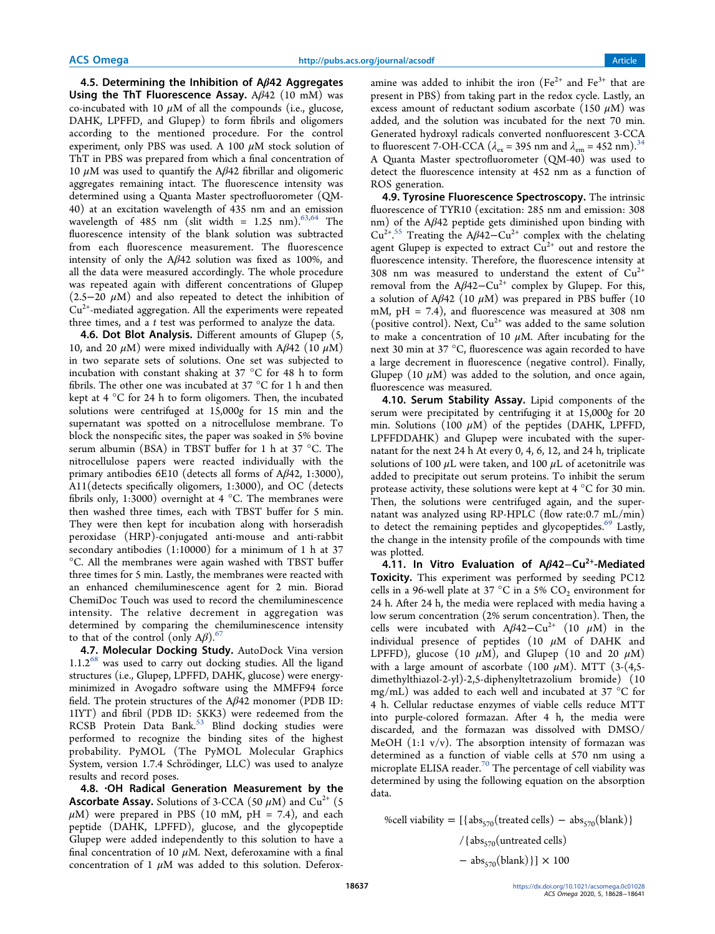4.5. Determining the Inhibition of  $A\beta$ 42 Aggregates Using the ThT Fluorescence Assay.  $A\beta$ 42 (10 mM) was co-incubated with 10  $\mu$ M of all the compounds (i.e., glucose, DAHK, LPFFD, and Glupep) to form fibrils and oligomers according to the mentioned procedure. For the control experiment, only PBS was used. A 100  $\mu$ M stock solution of ThT in PBS was prepared from which a final concentration of 10  $μ$ M was used to quantify the A $β$ 42 fibrillar and oligomeric aggregates remaining intact. The fluorescence intensity was determined using a Quanta Master spectrofluorometer (QM-40) at an excitation wavelength of 435 nm and an emission wavelength of 485 nm (slit width =  $1.25$  nm).<sup>63,64</sup> The fluorescence intensity of the blank solution was subtracted from each fluorescence measurement. The fluorescence intensity of only the  $A\beta 42$  solution was fixed as 100%, and all the data were measured accordingly. The whole procedure was repeated again with different concentrations of Glupep  $(2.5-20 \mu M)$  and also repeated to detect the inhibition of Cu2+-mediated aggregation. All the experiments were repeated three times, and a  $t$  test was performed to analyze the data.

**4.6. Dot Blot Analysis.** Different amounts of Glupep (5, 10, and 20  $\mu$ M) were mixed individually with A $\beta$ 42 (10  $\mu$ M) in two separate sets of solutions. One set was subjected to incubation with constant shaking at 37 °C for 48 h to form fibrils. The other one was incubated at 37 °C for 1 h and then kept at 4 °C for 24 h to form oligomers. Then, the incubated solutions were centrifuged at 15,000g for 15 min and the supernatant was spotted on a nitrocellulose membrane. To block the nonspecific sites, the paper was soaked in 5% bovine serum albumin (BSA) in TBST buffer for 1 h at 37 °C. The nitrocellulose papers were reacted individually with the primary antibodies 6E10 (detects all forms of Aβ42, 1:3000), A11(detects specifically oligomers, 1:3000), and OC (detects fibrils only, 1:3000) overnight at 4 °C. The membranes were then washed three times, each with TBST buffer for 5 min. They were then kept for incubation along with horseradish peroxidase (HRP)-conjugated anti-mouse and anti-rabbit secondary antibodies (1:10000) for a minimum of 1 h at 37 °C. All the membranes were again washed with TBST buffer three times for 5 min. Lastly, the membranes were reacted with an enhanced chemiluminescence agent for 2 min. Biorad ChemiDoc Touch was used to record the chemiluminescence intensity. The relative decrement in aggregation was determined by comparing the chemiluminescence intensity to that of the control (only  $A\beta$ ).<sup>67</sup>

4.7. Molecular Docking Study. AutoDock Vina version  $1.1.2<sup>68</sup>$  was used to carry out docking studies. All the ligand structures (i.e., Glupep, LPFFD, DAHK, glucose) were energyminimized in Avogadro software using the MMFF94 force field. The protein structures of the Aβ42 monomer (PDB ID: 1IYT) and fibril (PDB ID: 5KK3) were redeemed from the RCSB Protein Data Bank.<sup>53</sup> Blind docking studies were performed to recognize the binding sites of the highest probability. PyMOL (The PyMOL Molecular Graphics System, version 1.7.4 Schrödinger, LLC) was used to analyze results and record poses.

4.8. ·OH Radical Generation Measurement by the **Ascorbate Assay.** Solutions of 3-CCA (50  $\mu$ M) and Cu<sup>2+</sup> (5  $\mu$ M) were prepared in PBS (10 mM, pH = 7.4), and each peptide (DAHK, LPFFD), glucose, and the glycopeptide Glupep were added independently to this solution to have a final concentration of 10  $\mu$ M. Next, deferoxamine with a final concentration of 1  $\mu$ M was added to this solution. Deferoxamine was added to inhibit the iron  $(Fe^{2+}$  and  $Fe^{3+}$  that are present in PBS) from taking part in the redox cycle. Lastly, an excess amount of reductant sodium ascorbate (150  $\mu$ M) was added, and the solution was incubated for the next 70 min. Generated hydroxyl radicals converted nonfluorescent 3-CCA to fluorescent 7-OH-CCA ( $\lambda_{\text{ex}}$  = 395 nm and  $\lambda_{\text{em}}$  = 452 nm).<sup>34</sup> A Quanta Master spectrofluorometer (QM-40) was used to detect the fluorescence intensity at 452 nm as a function of ROS generation.

4.9. Tyrosine Fluorescence Spectroscopy. The intrinsic fluorescence of TYR10 (excitation: 285 nm and emission: 308 nm) of the Aβ42 peptide gets diminished upon binding with  $Cu^{2+.55}$  Treating the A $\beta$ 42-Cu<sup>2+</sup> complex with the chelating agent Glupep is expected to extract  $Cu^{2+}$  out and restore the fluorescence intensity. Therefore, the fluorescence intensity at 308 nm was measured to understand the extent of  $Cu^{2+}$ removal from the  $A\beta 42-Cu^{2+}$  complex by Glupep. For this, a solution of Aβ42 (10  $μ$ M) was prepared in PBS buffer (10 mM, pH = 7.4), and fluorescence was measured at 308 nm (positive control). Next,  $Cu^{2+}$  was added to the same solution to make a concentration of 10  $\mu$ M. After incubating for the next 30 min at 37 °C, fluorescence was again recorded to have a large decrement in fluorescence (negative control). Finally, Glupep (10  $\mu$ M) was added to the solution, and once again, fluorescence was measured.

4.10. Serum Stability Assay. Lipid components of the serum were precipitated by centrifuging it at 15,000g for 20 min. Solutions (100  $\mu$ M) of the peptides (DAHK, LPFFD, LPFFDDAHK) and Glupep were incubated with the supernatant for the next 24 h At every 0, 4, 6, 12, and 24 h, triplicate solutions of 100  $\mu$ L were taken, and 100  $\mu$ L of acetonitrile was added to precipitate out serum proteins. To inhibit the serum protease activity, these solutions were kept at 4 °C for 30 min. Then, the solutions were centrifuged again, and the supernatant was analyzed using RP-HPLC (flow rate:0.7 mL/min) to detect the remaining peptides and glycopeptides.<sup>69</sup> Lastly, the change in the intensity profile of the compounds with time was plotted.

4.11. In Vitro Evaluation of Aβ42–Cu<sup>2+</sup>-Mediated Toxicity. This experiment was performed by seeding PC12 cells in a 96-well plate at 37 °C in a 5%  $CO_2$  environment for 24 h. After 24 h, the media were replaced with media having a low serum concentration (2% serum concentration). Then, the cells were incubated with  $A\beta 42-Cu^{2+}$  (10  $\mu$ M) in the individual presence of peptides (10  $\mu$ M of DAHK and LPFFD), glucose (10  $\mu$ M), and Glupep (10 and 20  $\mu$ M) with a large amount of ascorbate (100  $\mu$ M). MTT (3-(4,5dimethylthiazol-2-yl)-2,5-diphenyltetrazolium bromide) (10 mg/mL) was added to each well and incubated at 37 °C for 4 h. Cellular reductase enzymes of viable cells reduce MTT into purple-colored formazan. After 4 h, the media were discarded, and the formazan was dissolved with DMSO/ MeOH  $(1:1 \text{ v/v})$ . The absorption intensity of formazan was determined as a function of viable cells at 570 nm using a microplate ELISA reader. $\frac{70}{10}$  The percentage of cell viability was determined by using the following equation on the absorption data.

%cell viability =  $[{ \{ abs_{570}(treated cells) - abs_{570}(blank) } }$ /{ $\text{abs}_{570}(\text{untreated cells})$  $-$  abs<sub>570</sub>(blank) }] × 100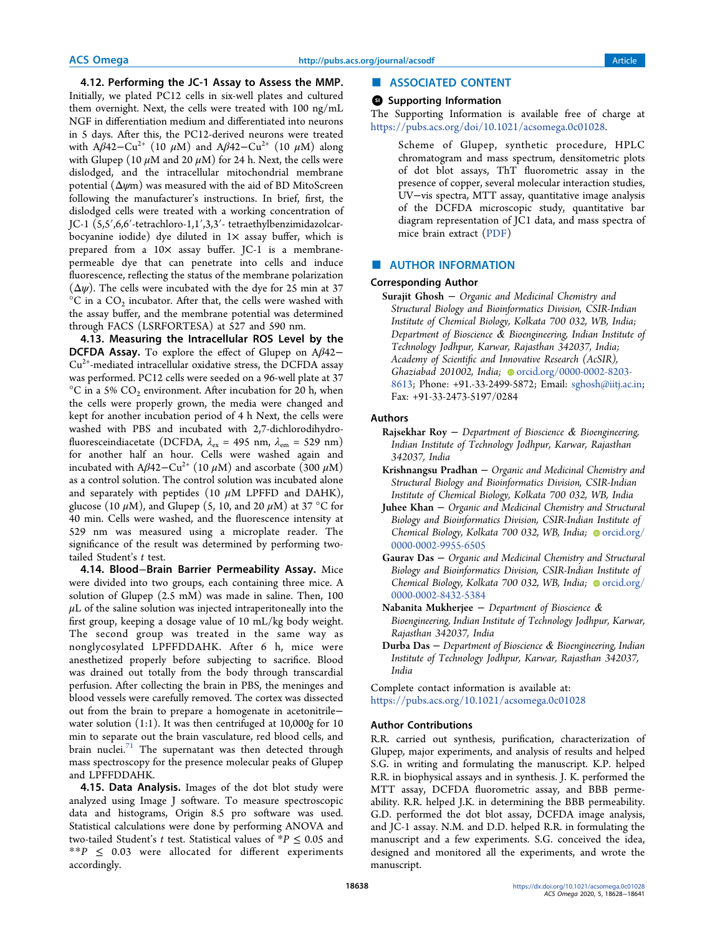4.12. Performing the JC-1 Assay to Assess the MMP. Initially, we plated PC12 cells in six-well plates and cultured them overnight. Next, the cells were treated with 100 ng/mL NGF in differentiation medium and differentiated into neurons in 5 days. After this, the PC12-derived neurons were treated with A $\beta$ 42–Cu<sup>2+</sup> (10  $\mu$ M) and A $\beta$ 42–Cu<sup>2+</sup> (10  $\mu$ M) along with Glupep (10  $\mu$ M and 20  $\mu$ M) for 24 h. Next, the cells were dislodged, and the intracellular mitochondrial membrane potential  $(\Delta \psi m)$  was measured with the aid of BD MitoScreen following the manufacturer's instructions. In brief, first, the dislodged cells were treated with a working concentration of JC-1 (5,5′,6,6′-tetrachloro-1,1′,3,3′- tetraethylbenzimidazolcarbocyanine iodide) dye diluted in  $1\times$  assay buffer, which is prepared from a 10x assay buffer. JC-1 is a membranepermeable dye that can penetrate into cells and induce fluorescence, reflecting the status of the membrane polarization  $(\Delta \psi)$ . The cells were incubated with the dye for 25 min at 37  $^{\circ}$ C in a CO<sub>2</sub> incubator. After that, the cells were washed with the assay buffer, and the membrane potential was determined through FACS (LSRFORTESA) at 527 and 590 nm.

4.13. Measuring the Intracellular ROS Level by the DCFDA Assay. To explore the effect of Glupep on Aβ42−  $Cu<sup>2+</sup>$ -mediated intracellular oxidative stress, the DCFDA assay was performed. PC12 cells were seeded on a 96-well plate at 37  $^{\circ}$ C in a 5% CO<sub>2</sub> environment. After incubation for 20 h, when the cells were properly grown, the media were changed and kept for another incubation period of 4 h Next, the cells were washed with PBS and incubated with 2,7-dichlorodihydrofluoresceindiacetate (DCFDA,  $\lambda_{\text{ex}} = 495 \text{ nm}, \lambda_{\text{em}} = 529 \text{ nm}$ ) for another half an hour. Cells were washed again and incubated with A $\beta$ 42–Cu<sup>2+</sup> (10  $\mu$ M) and ascorbate (300  $\mu$ M) as a control solution. The control solution was incubated alone and separately with peptides (10  $\mu$ M LPFFD and DAHK), glucose (10  $\mu$ M), and Glupep (5, 10, and 20  $\mu$ M) at 37 °C for 40 min. Cells were washed, and the fluorescence intensity at 529 nm was measured using a microplate reader. The significance of the result was determined by performing twotailed Student's t test.

4.14. Blood−Brain Barrier Permeability Assay. Mice were divided into two groups, each containing three mice. A solution of Glupep (2.5 mM) was made in saline. Then, 100  $\mu$ L of the saline solution was injected intraperitoneally into the first group, keeping a dosage value of 10 mL/kg body weight. The second group was treated in the same way as nonglycosylated LPFFDDAHK. After 6 h, mice were anesthetized properly before subjecting to sacrifice. Blood was drained out totally from the body through transcardial perfusion. After collecting the brain in PBS, the meninges and blood vessels were carefully removed. The cortex was dissected out from the brain to prepare a homogenate in acetonitrile− water solution (1:1). It was then centrifuged at 10,000g for 10 min to separate out the brain vasculature, red blood cells, and brain nuclei. $71$  The supernatant was then detected through mass spectroscopy for the presence molecular peaks of Glupep and LPFFDDAHK.

4.15. Data Analysis. Images of the dot blot study were analyzed using Image J software. To measure spectroscopic data and histograms, Origin 8.5 pro software was used. Statistical calculations were done by performing ANOVA and two-tailed Student's t test. Statistical values of  $*P \leq 0.05$  and  $*$  $P \leq 0.03$  were allocated for different experiments accordingly.

#### ■ ASSOCIATED CONTENT

#### **9** Supporting Information

The Supporting Information is available free of charge at https://pubs.acs.org/doi/10.1021/acsomega.0c01028.

Scheme of Glupep, synthetic procedure, HPLC chromatogram and mass spectrum, densitometric plots of dot blot assays, ThT fluorometric assay in the presence of copper, several molecular interaction studies, UV−vis spectra, MTT assay, quantitative image analysis of the DCFDA microscopic study, quantitative bar diagram representation of JC1 data, and mass spectra of mice brain extract (PDF)

### ■ AUTHOR INFORMATION

### Corresponding Author

Surajit Ghosh - Organic and Medicinal Chemistry and Structural Biology and Bioinformatics Division, CSIR-Indian Institute of Chemical Biology, Kolkata 700 032, WB, India; Department of Bioscience & Bioengineering, Indian Institute of Technology Jodhpur, Karwar, Rajasthan 342037, India; Academy of Scientific and Innovative Research (AcSIR), Ghaziabad 201002, India; orcid.org/0000-0002-8203-8613; Phone: +91.-33-2499-5872; Email: sghosh@iitj.ac.in; Fax: +91-33-2473-5197/0284

#### Authors

- Rajsekhar Roy − Department of Bioscience & Bioengineering, Indian Institute of Technology Jodhpur, Karwar, Rajasthan 342037, India
- Krishnangsu Pradhan − Organic and Medicinal Chemistry and Structural Biology and Bioinformatics Division, CSIR-Indian Institute of Chemical Biology, Kolkata 700 032, WB, India
- Juhee Khan − Organic and Medicinal Chemistry and Structural Biology and Bioinformatics Division, CSIR-Indian Institute of Chemical Biology, Kolkata 700 032, WB, India; orcid.org/ 0000-0002-9955-6505
- Gaurav Das − Organic and Medicinal Chemistry and Structural Biology and Bioinformatics Division, CSIR-Indian Institute of Chemical Biology, Kolkata 700 032, WB, India;  $\bullet$  orcid.org/ 0000-0002-8432-5384
- Nabanita Mukherjee − Department of Bioscience & Bioengineering, Indian Institute of Technology Jodhpur, Karwar, Rajasthan 342037, India
- Durba Das − Department of Bioscience & Bioengineering, Indian Institute of Technology Jodhpur, Karwar, Rajasthan 342037, India

Complete contact information is available at: https://pubs.acs.org/10.1021/acsomega.0c01028

#### Author Contributions

R.R. carried out synthesis, purification, characterization of Glupep, major experiments, and analysis of results and helped S.G. in writing and formulating the manuscript. K.P. helped R.R. in biophysical assays and in synthesis. J. K. performed the MTT assay, DCFDA fluorometric assay, and BBB permeability. R.R. helped J.K. in determining the BBB permeability. G.D. performed the dot blot assay, DCFDA image analysis, and JC-1 assay. N.M. and D.D. helped R.R. in formulating the manuscript and a few experiments. S.G. conceived the idea, designed and monitored all the experiments, and wrote the manuscript.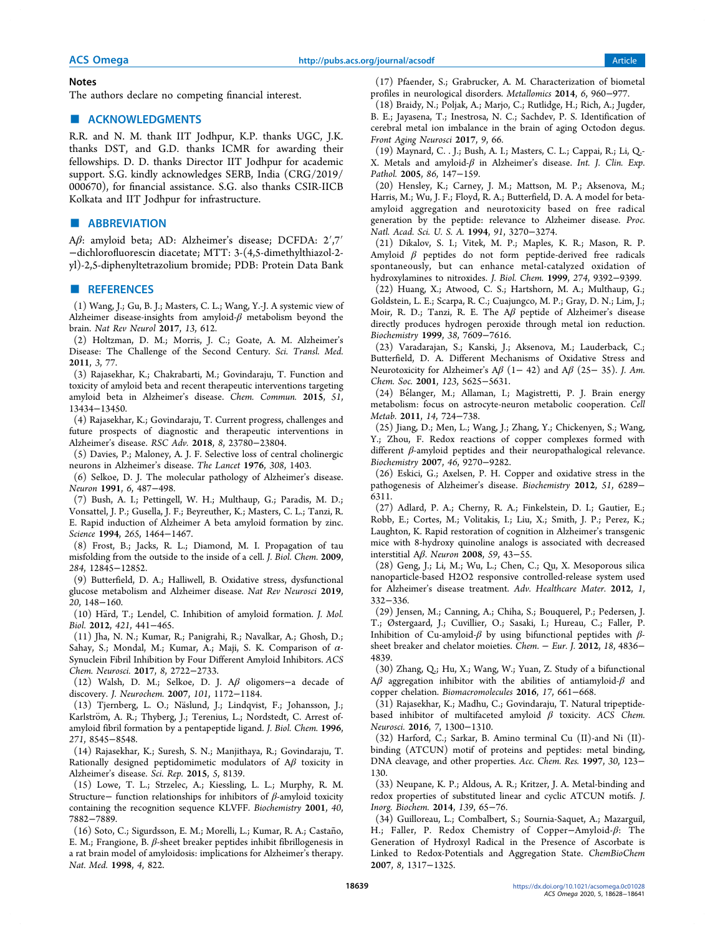#### **Notes**

The authors declare no competing financial interest.

## ■ ACKNOWLEDGMENTS

R.R. and N. M. thank IIT Jodhpur, K.P. thanks UGC, J.K. thanks DST, and G.D. thanks ICMR for awarding their fellowships. D. D. thanks Director IIT Jodhpur for academic support. S.G. kindly acknowledges SERB, India (CRG/2019/ 000670), for financial assistance. S.G. also thanks CSIR-IICB Kolkata and IIT Jodhpur for infrastructure.

### ■ ABBREVIATION

Aβ: amyloid beta; AD: Alzheimer's disease; DCFDA: 2′,7′ −dichlorofluorescin diacetate; MTT: 3-(4,5-dimethylthiazol-2 yl)-2,5-diphenyltetrazolium bromide; PDB: Protein Data Bank

#### ■ REFERENCES

(1) Wang, J.; Gu, B. J.; Masters, C. L.; Wang, Y.-J. A systemic view of Alzheimer disease-insights from amyloid- $\beta$  metabolism beyond the brain. Nat Rev Neurol 2017, 13, 612.

(2) Holtzman, D. M.; Morris, J. C.; Goate, A. M. Alzheimer's Disease: The Challenge of the Second Century. Sci. Transl. Med. 2011, 3, 77.

(3) Rajasekhar, K.; Chakrabarti, M.; Govindaraju, T. Function and toxicity of amyloid beta and recent therapeutic interventions targeting amyloid beta in Alzheimer's disease. Chem. Commun. 2015, 51, 13434−13450.

(4) Rajasekhar, K.; Govindaraju, T. Current progress, challenges and future prospects of diagnostic and therapeutic interventions in Alzheimer's disease. RSC Adv. 2018, 8, 23780−23804.

(5) Davies, P.; Maloney, A. J. F. Selective loss of central cholinergic neurons in Alzheimer's disease. The Lancet 1976, 308, 1403.

(6) Selkoe, D. J. The molecular pathology of Alzheimer's disease. Neuron 1991, 6, 487−498.

(7) Bush, A. I.; Pettingell, W. H.; Multhaup, G.; Paradis, M. D.; Vonsattel, J. P.; Gusella, J. F.; Beyreuther, K.; Masters, C. L.; Tanzi, R. E. Rapid induction of Alzheimer A beta amyloid formation by zinc. Science 1994, 265, 1464−1467.

(8) Frost, B.; Jacks, R. L.; Diamond, M. I. Propagation of tau misfolding from the outside to the inside of a cell. J. Biol. Chem. 2009, 284, 12845−12852.

(9) Butterfield, D. A.; Halliwell, B. Oxidative stress, dysfunctional glucose metabolism and Alzheimer disease. Nat Rev Neurosci 2019, 20, 148−160.

 $(10)$  Härd, T.; Lendel, C. Inhibition of amyloid formation. *J. Mol.* Biol. 2012, 421, 441−465.

(11) Jha, N. N.; Kumar, R.; Panigrahi, R.; Navalkar, A.; Ghosh, D.; Sahay, S.; Mondal, M.; Kumar, A.; Maji, S. K. Comparison of α-Synuclein Fibril Inhibition by Four Different Amyloid Inhibitors. ACS Chem. Neurosci. 2017, 8, 2722−2733.

(12) Walsh, D. M.; Selkoe, D. J. Aβ oligomers−a decade of discovery. J. Neurochem. 2007, 101, 1172−1184.

(13) Tjernberg, L. O.; Näslund, J.; Lindqvist, F.; Johansson, J.; Karlström, A. R.; Thyberg, J.; Terenius, L.; Nordstedt, C. Arrest ofamyloid fibril formation by a pentapeptide ligand. J. Biol. Chem. 1996, 271, 8545−8548.

(14) Rajasekhar, K.; Suresh, S. N.; Manjithaya, R.; Govindaraju, T. Rationally designed peptidomimetic modulators of  $A\beta$  toxicity in Alzheimer's disease. Sci. Rep. 2015, 5, 8139.

(15) Lowe, T. L.; Strzelec, A.; Kiessling, L. L.; Murphy, R. M. Structure− function relationships for inhibitors of  $\beta$ -amyloid toxicity containing the recognition sequence KLVFF. Biochemistry 2001, 40, 7882−7889.

(16) Soto, C.; Sigurdsson, E. M.; Morelli, L.; Kumar, R. A.; Castaño, E. M.; Frangione, B. β-sheet breaker peptides inhibit fibrillogenesis in a rat brain model of amyloidosis: implications for Alzheimer's therapy. Nat. Med. 1998, 4, 822.

(17) Pfaender, S.; Grabrucker, A. M. Characterization of biometal profiles in neurological disorders. Metallomics 2014, 6, 960−977.

(18) Braidy, N.; Poljak, A.; Marjo, C.; Rutlidge, H.; Rich, A.; Jugder, B. E.; Jayasena, T.; Inestrosa, N. C.; Sachdev, P. S. Identification of cerebral metal ion imbalance in the brain of aging Octodon degus. Front Aging Neurosci 2017, 9, 66.

(19) Maynard, C. . J.; Bush, A. I.; Masters, C. L.; Cappai, R.; Li, Q.- X. Metals and amyloid-β in Alzheimer's disease. Int. J. Clin. Exp. Pathol. 2005, 86, 147−159.

(20) Hensley, K.; Carney, J. M.; Mattson, M. P.; Aksenova, M.; Harris, M.; Wu, J. F.; Floyd, R. A.; Butterfield, D. A. A model for betaamyloid aggregation and neurotoxicity based on free radical generation by the peptide: relevance to Alzheimer disease. Proc. Natl. Acad. Sci. U. S. A. 1994, 91, 3270−3274.

(21) Dikalov, S. I.; Vitek, M. P.; Maples, K. R.; Mason, R. P. Amyloid  $\beta$  peptides do not form peptide-derived free radicals spontaneously, but can enhance metal-catalyzed oxidation of hydroxylamines to nitroxides. J. Biol. Chem. 1999, 274, 9392−9399.

(22) Huang, X.; Atwood, C. S.; Hartshorn, M. A.; Multhaup, G.; Goldstein, L. E.; Scarpa, R. C.; Cuajungco, M. P.; Gray, D. N.; Lim, J.; Moir, R. D.; Tanzi, R. E. The Aβ peptide of Alzheimer's disease directly produces hydrogen peroxide through metal ion reduction. Biochemistry 1999, 38, 7609−7616.

(23) Varadarajan, S.; Kanski, J.; Aksenova, M.; Lauderback, C.; Butterfield, D. A. Different Mechanisms of Oxidative Stress and Neurotoxicity for Alzheimer's A $\beta$  (1– 42) and A $\beta$  (25– 35). J. Am. Chem. Soc. 2001, 123, 5625−5631.

(24) Belanger, M.; Allaman, I.; Magistretti, P. J. Brain energy ́ metabolism: focus on astrocyte-neuron metabolic cooperation. Cell Metab. 2011, 14, 724−738.

(25) Jiang, D.; Men, L.; Wang, J.; Zhang, Y.; Chickenyen, S.; Wang, Y.; Zhou, F. Redox reactions of copper complexes formed with different β-amyloid peptides and their neuropathalogical relevance. Biochemistry 2007, 46, 9270−9282.

(26) Eskici, G.; Axelsen, P. H. Copper and oxidative stress in the pathogenesis of Alzheimer's disease. Biochemistry 2012, 51, 6289− 6311.

(27) Adlard, P. A.; Cherny, R. A.; Finkelstein, D. I.; Gautier, E.; Robb, E.; Cortes, M.; Volitakis, I.; Liu, X.; Smith, J. P.; Perez, K.; Laughton, K. Rapid restoration of cognition in Alzheimer's transgenic mice with 8-hydroxy quinoline analogs is associated with decreased interstitial Aβ. Neuron 2008, 59, 43−55.

(28) Geng, J.; Li, M.; Wu, L.; Chen, C.; Qu, X. Mesoporous silica nanoparticle-based H2O2 responsive controlled-release system used for Alzheimer's disease treatment. Adv. Healthcare Mater. 2012, 1, 332−336.

(29) Jensen, M.; Canning, A.; Chiha, S.; Bouquerel, P.; Pedersen, J. T.; Østergaard, J.; Cuvillier, O.; Sasaki, I.; Hureau, C.; Faller, P. Inhibition of Cu-amyloid- $β$  by using bifunctional peptides with  $β$ sheet breaker and chelator moieties. Chem. − Eur. J. 2012, 18, 4836− 4839.

(30) Zhang, Q.; Hu, X.; Wang, W.; Yuan, Z. Study of a bifunctional Aβ aggregation inhibitor with the abilities of antiamyloid- $β$  and copper chelation. Biomacromolecules 2016, 17, 661−668.

(31) Rajasekhar, K.; Madhu, C.; Govindaraju, T. Natural tripeptidebased inhibitor of multifaceted amyloid  $\beta$  toxicity. ACS Chem. Neurosci. 2016, 7, 1300−1310.

(32) Harford, C.; Sarkar, B. Amino terminal Cu (II)-and Ni (II) binding (ATCUN) motif of proteins and peptides: metal binding, DNA cleavage, and other properties. Acc. Chem. Res. 1997, 30, 123− 130.

(33) Neupane, K. P.; Aldous, A. R.; Kritzer, J. A. Metal-binding and redox properties of substituted linear and cyclic ATCUN motifs. J. Inorg. Biochem. 2014, 139, 65−76.

(34) Guilloreau, L.; Combalbert, S.; Sournia-Saquet, A.; Mazarguil, H.; Faller, P. Redox Chemistry of Copper−Amyloid-β: The Generation of Hydroxyl Radical in the Presence of Ascorbate is Linked to Redox-Potentials and Aggregation State. ChemBioChem 2007, 8, 1317−1325.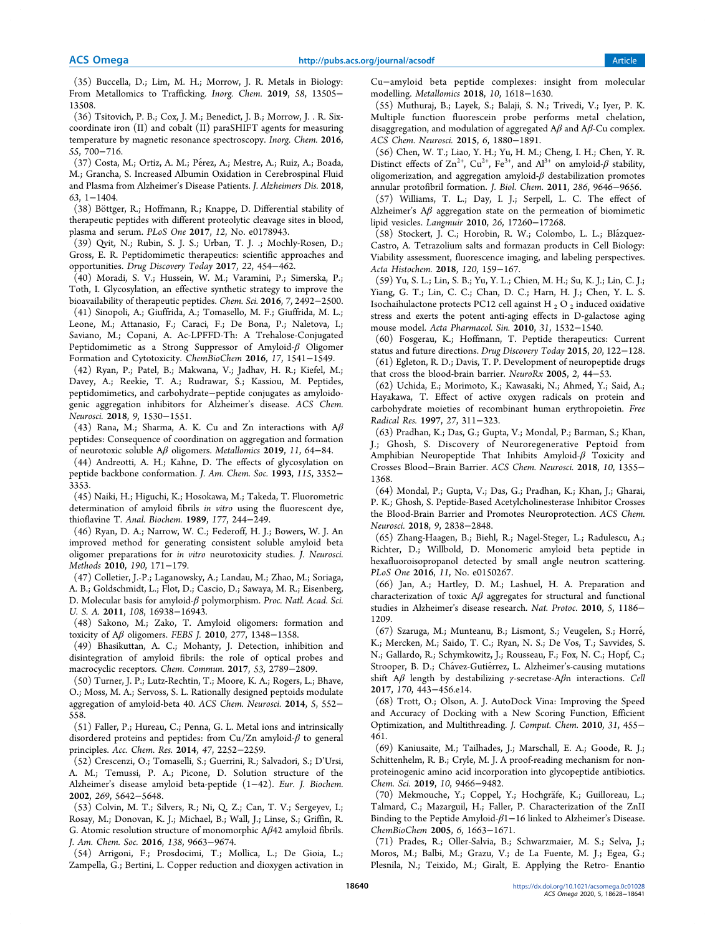(35) Buccella, D.; Lim, M. H.; Morrow, J. R. Metals in Biology: From Metallomics to Trafficking. Inorg. Chem. 2019, 58, 13505− 13508.

(36) Tsitovich, P. B.; Cox, J. M.; Benedict, J. B.; Morrow, J. . R. Sixcoordinate iron (II) and cobalt (II) paraSHIFT agents for measuring temperature by magnetic resonance spectroscopy. Inorg. Chem. 2016, 55, 700−716.

(37) Costa, M.; Ortiz, A. M.; Pérez, A.; Mestre, A.; Ruiz, A.; Boada, M.; Grancha, S. Increased Albumin Oxidation in Cerebrospinal Fluid and Plasma from Alzheimer's Disease Patients. J. Alzheimers Dis. 2018, 63, 1−1404.

(38) Böttger, R.; Hoffmann, R.; Knappe, D. Differential stability of therapeutic peptides with different proteolytic cleavage sites in blood, plasma and serum. PLoS One 2017, 12, No. e0178943.

(39) Qvit, N.; Rubin, S. J. S.; Urban, T. J. .; Mochly-Rosen, D.; Gross, E. R. Peptidomimetic therapeutics: scientific approaches and opportunities. Drug Discovery Today 2017, 22, 454−462.

(40) Moradi, S. V.; Hussein, W. M.; Varamini, P.; Simerska, P.; Toth, I. Glycosylation, an effective synthetic strategy to improve the bioavailability of therapeutic peptides. Chem. Sci. 2016, 7, 2492−2500.

(41) Sinopoli, A.; Giuffrida, A.; Tomasello, M. F.; Giuffrida, M. L.; Leone, M.; Attanasio, F.; Caraci, F.; De Bona, P.; Naletova, I.; Saviano, M.; Copani, A. Ac-LPFFD-Th: A Trehalose-Conjugated Peptidomimetic as a Strong Suppressor of Amyloid-β Oligomer Formation and Cytotoxicity. ChemBioChem 2016, 17, 1541−1549.

(42) Ryan, P.; Patel, B.; Makwana, V.; Jadhav, H. R.; Kiefel, M.; Davey, A.; Reekie, T. A.; Rudrawar, S.; Kassiou, M. Peptides, peptidomimetics, and carbohydrate−peptide conjugates as amyloidogenic aggregation inhibitors for Alzheimer's disease. ACS Chem. Neurosci. 2018, 9, 1530−1551.

(43) Rana, M.; Sharma, A. K. Cu and Zn interactions with  $A\beta$ peptides: Consequence of coordination on aggregation and formation of neurotoxic soluble Aβ oligomers. Metallomics 2019, 11, 64−84.

(44) Andreotti, A. H.; Kahne, D. The effects of glycosylation on peptide backbone conformation. J. Am. Chem. Soc. 1993, 115, 3352− 3353.

(45) Naiki, H.; Higuchi, K.; Hosokawa, M.; Takeda, T. Fluorometric determination of amyloid fibrils in vitro using the fluorescent dye, thioflavine T. Anal. Biochem. 1989, 177, 244−249.

(46) Ryan, D. A.; Narrow, W. C.; Federoff, H. J.; Bowers, W. J. An improved method for generating consistent soluble amyloid beta oligomer preparations for in vitro neurotoxicity studies. J. Neurosci. Methods 2010, 190, 171−179.

(47) Colletier, J.-P.; Laganowsky, A.; Landau, M.; Zhao, M.; Soriaga, A. B.; Goldschmidt, L.; Flot, D.; Cascio, D.; Sawaya, M. R.; Eisenberg, D. Molecular basis for amyloid-β polymorphism. Proc. Natl. Acad. Sci. U. S. A. 2011, 108, 16938−16943.

(48) Sakono, M.; Zako, T. Amyloid oligomers: formation and toxicity of  $A\beta$  oligomers. FEBS J. 2010, 277, 1348-1358.

(49) Bhasikuttan, A. C.; Mohanty, J. Detection, inhibition and disintegration of amyloid fibrils: the role of optical probes and macrocyclic receptors. Chem. Commun. 2017, 53, 2789−2809.

(50) Turner, J. P.; Lutz-Rechtin, T.; Moore, K. A.; Rogers, L.; Bhave, O.; Moss, M. A.; Servoss, S. L. Rationally designed peptoids modulate aggregation of amyloid-beta 40. ACS Chem. Neurosci. 2014, 5, 552− 558.

(51) Faller, P.; Hureau, C.; Penna, G. L. Metal ions and intrinsically disordered proteins and peptides: from Cu/Zn amyloid- $\beta$  to general principles. Acc. Chem. Res. 2014, 47, 2252−2259.

(52) Crescenzi, O.; Tomaselli, S.; Guerrini, R.; Salvadori, S.; D'Ursi, A. M.; Temussi, P. A.; Picone, D. Solution structure of the Alzheimer's disease amyloid beta-peptide (1−42). Eur. J. Biochem. 2002, 269, 5642−5648.

(53) Colvin, M. T.; Silvers, R.; Ni, Q. Z.; Can, T. V.; Sergeyev, I.; Rosay, M.; Donovan, K. J.; Michael, B.; Wall, J.; Linse, S.; Griffin, R. G. Atomic resolution structure of monomorphic Aβ42 amyloid fibrils. J. Am. Chem. Soc. 2016, 138, 9663−9674.

(54) Arrigoni, F.; Prosdocimi, T.; Mollica, L.; De Gioia, L.; Zampella, G.; Bertini, L. Copper reduction and dioxygen activation in

Cu−amyloid beta peptide complexes: insight from molecular modelling. Metallomics 2018, 10, 1618−1630.

(55) Muthuraj, B.; Layek, S.; Balaji, S. N.; Trivedi, V.; Iyer, P. K. Multiple function fluorescein probe performs metal chelation, disaggregation, and modulation of aggregated  $A\beta$  and  $A\beta$ -Cu complex. ACS Chem. Neurosci. 2015, 6, 1880−1891.

(56) Chen, W. T.; Liao, Y. H.; Yu, H. M.; Cheng, I. H.; Chen, Y. R. Distinct effects of  $\text{Zn}^{2+}$ ,  $\text{Cu}^{2+}$ ,  $\text{Fe}^{3+}$ , and  $\text{Al}^{3+}$  on amyloid- $\beta$  stability, oligomerization, and aggregation amyloid- $\beta$  destabilization promotes annular protofibril formation. J. Biol. Chem. 2011, 286, 9646−9656.

(57) Williams, T. L.; Day, I. J.; Serpell, L. C. The effect of Alzheimer's  $A\beta$  aggregation state on the permeation of biomimetic lipid vesicles. Langmuir 2010, 26, 17260−17268.

(58) Stockert, J. C.; Horobin, R. W.; Colombo, L. L.; Blázquez-Castro, A. Tetrazolium salts and formazan products in Cell Biology: Viability assessment, fluorescence imaging, and labeling perspectives. Acta Histochem. 2018, 120, 159−167.

(59) Yu, S. L.; Lin, S. B.; Yu, Y. L.; Chien, M. H.; Su, K. J.; Lin, C. J.; Yiang, G. T.; Lin, C. C.; Chan, D. C.; Harn, H. J.; Chen, Y. L. S. Isochaihulactone protects PC12 cell against H  $_2$  O  $_2$  induced oxidative stress and exerts the potent anti-aging effects in D-galactose aging mouse model. Acta Pharmacol. Sin. 2010, 31, 1532−1540.

(60) Fosgerau, K.; Hoffmann, T. Peptide therapeutics: Current status and future directions. Drug Discovery Today 2015, 20, 122−128. (61) Egleton, R. D.; Davis, T. P. Development of neuropeptide drugs that cross the blood-brain barrier. NeuroRx 2005, 2, 44−53.

(62) Uchida, E.; Morimoto, K.; Kawasaki, N.; Ahmed, Y.; Said, A.; Hayakawa, T. Effect of active oxygen radicals on protein and carbohydrate moieties of recombinant human erythropoietin. Free Radical Res. 1997, 27, 311−323.

(63) Pradhan, K.; Das, G.; Gupta, V.; Mondal, P.; Barman, S.; Khan, J.; Ghosh, S. Discovery of Neuroregenerative Peptoid from Amphibian Neuropeptide That Inhibits Amyloid-β Toxicity and Crosses Blood−Brain Barrier. ACS Chem. Neurosci. 2018, 10, 1355− 1368.

(64) Mondal, P.; Gupta, V.; Das, G.; Pradhan, K.; Khan, J.; Gharai, P. K.; Ghosh, S. Peptide-Based Acetylcholinesterase Inhibitor Crosses the Blood-Brain Barrier and Promotes Neuroprotection. ACS Chem. Neurosci. 2018, 9, 2838−2848.

(65) Zhang-Haagen, B.; Biehl, R.; Nagel-Steger, L.; Radulescu, A.; Richter, D.; Willbold, D. Monomeric amyloid beta peptide in hexafluoroisopropanol detected by small angle neutron scattering. PLoS One 2016, 11, No. e0150267.

(66) Jan, A.; Hartley, D. M.; Lashuel, H. A. Preparation and characterization of toxic  $A\beta$  aggregates for structural and functional studies in Alzheimer's disease research. Nat. Protoc. 2010, 5, 1186− 1209.

(67) Szaruga, M.; Munteanu, B.; Lismont, S.; Veugelen, S.; Horre,́ K.; Mercken, M.; Saido, T. C.; Ryan, N. S.; De Vos, T.; Savvides, S. N.; Gallardo, R.; Schymkowitz, J.; Rousseau, F.; Fox, N. C.; Hopf, C.; Strooper, B. D.; Chávez-Gutiérrez, L. Alzheimer's-causing mutations shift  $A\beta$  length by destabilizing  $\gamma$ -secretase-A $\beta$ n interactions. Cell 2017, 170, 443−456.e14.

(68) Trott, O.; Olson, A. J. AutoDock Vina: Improving the Speed and Accuracy of Docking with a New Scoring Function, Efficient Optimization, and Multithreading. J. Comput. Chem. 2010, 31, 455− 461.

(69) Kaniusaite, M.; Tailhades, J.; Marschall, E. A.; Goode, R. J.; Schittenhelm, R. B.; Cryle, M. J. A proof-reading mechanism for nonproteinogenic amino acid incorporation into glycopeptide antibiotics. Chem. Sci. 2019, 10, 9466−9482.

(70) Mekmouche, Y.; Coppel, Y.; Hochgrafe, K.; Guilloreau, L.; ̈ Talmard, C.; Mazarguil, H.; Faller, P. Characterization of the ZnII Binding to the Peptide Amyloid-β1−16 linked to Alzheimer's Disease. ChemBioChem 2005, 6, 1663−1671.

(71) Prades, R.; Oller-Salvia, B.; Schwarzmaier, M. S.; Selva, J.; Moros, M.; Balbi, M.; Grazu, V.; de La Fuente, M. J.; Egea, G.; Plesnila, N.; Teixido, M.; Giralt, E. Applying the Retro- Enantio